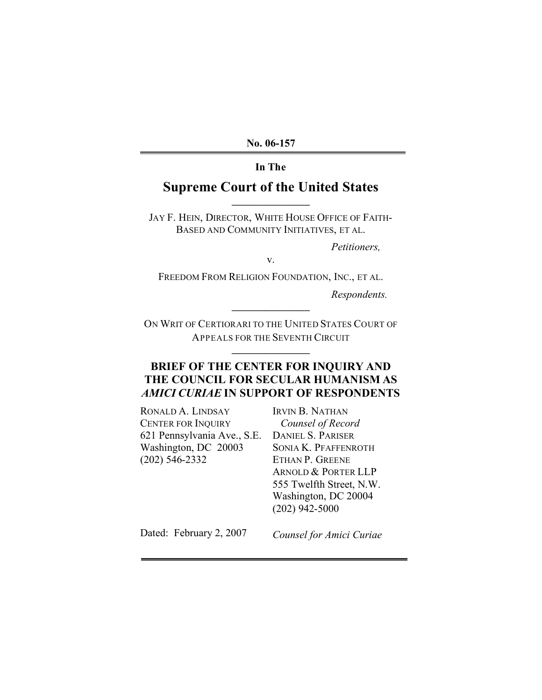**No. 06-157**

## **In The**

## **Supreme Court of the United States \_\_\_\_\_\_\_\_\_\_\_\_\_\_\_\_**

JAY F. HEIN, DIRECTOR, WHITE HOUSE OFFICE OF FAITH-BASED AND COMMUNITY INITIATIVES, ET AL.

*Petitioners,*

v.

FREEDOM FROM RELIGION FOUNDATION, INC., ET AL.

*Respondents.*

ON WRIT OF CERTIORARI TO THE UNITED STATES COURT OF APPEALS FOR THE SEVENTH CIRCUIT

**\_\_\_\_\_\_\_\_\_\_\_\_\_\_\_\_**

**\_\_\_\_\_\_\_\_\_\_\_\_\_\_\_\_**

## **BRIEF OF THE CENTER FOR INQUIRY AND THE COUNCIL FOR SECULAR HUMANISM AS** *AMICI CURIAE* **IN SUPPORT OF RESPONDENTS**

RONALD A. LINDSAY CENTER FOR INQUIRY 621 Pennsylvania Ave., S.E. Washington, DC 20003 (202) 546-2332

IRVIN B. NATHAN *Counsel of Record* DANIEL S. PARISER SONIA K. PFAFFENROTH ETHAN P. GREENE ARNOLD & PORTER LLP 555 Twelfth Street, N.W. Washington, DC 20004 (202) 942-5000

Dated: February 2, 2007

*Counsel for Amici Curiae*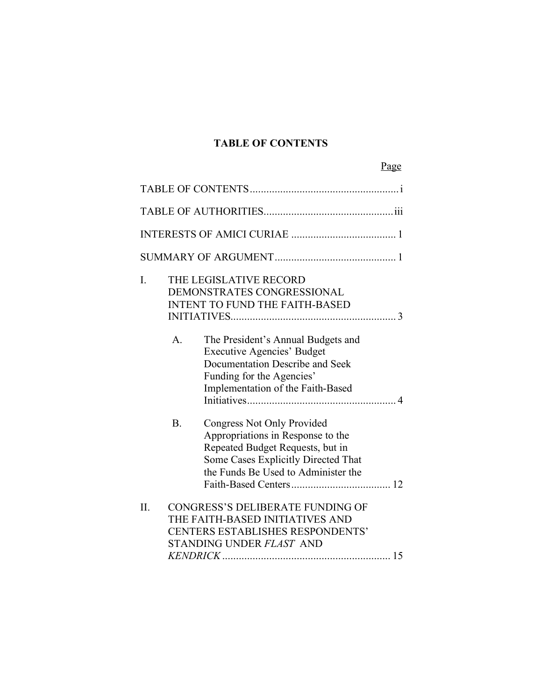## **TABLE OF CONTENTS**

|         |           |                                                                                                                                                                                   | Page |
|---------|-----------|-----------------------------------------------------------------------------------------------------------------------------------------------------------------------------------|------|
|         |           |                                                                                                                                                                                   |      |
|         |           |                                                                                                                                                                                   |      |
|         |           |                                                                                                                                                                                   |      |
|         |           |                                                                                                                                                                                   |      |
| I.      |           | THE LEGISLATIVE RECORD<br>DEMONSTRATES CONGRESSIONAL<br><b>INTENT TO FUND THE FAITH-BASED</b>                                                                                     |      |
|         | A.        | The President's Annual Budgets and<br><b>Executive Agencies' Budget</b><br>Documentation Describe and Seek<br>Funding for the Agencies'<br>Implementation of the Faith-Based      |      |
|         | <b>B.</b> | Congress Not Only Provided<br>Appropriations in Response to the<br>Repeated Budget Requests, but in<br>Some Cases Explicitly Directed That<br>the Funds Be Used to Administer the |      |
| $\Pi$ . |           | <b>CONGRESS'S DELIBERATE FUNDING OF</b><br>THE FAITH-BASED INITIATIVES AND<br><b>CENTERS ESTABLISHES RESPONDENTS'</b><br>STANDING UNDER FLAST AND                                 |      |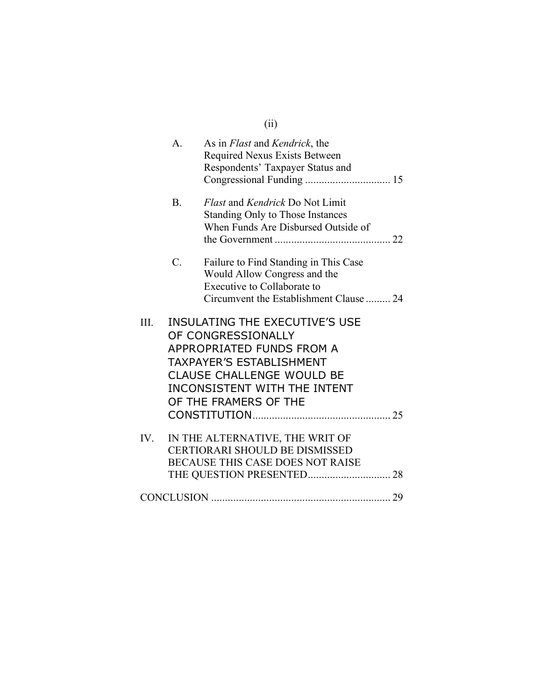|      |             | (ii)                                                                                                                                                                                                                     |
|------|-------------|--------------------------------------------------------------------------------------------------------------------------------------------------------------------------------------------------------------------------|
|      | А.          | As in <i>Flast</i> and <i>Kendrick</i> , the<br>Required Nexus Exists Between<br>Respondents' Taxpayer Status and                                                                                                        |
|      | <b>B.</b>   | Flast and Kendrick Do Not Limit<br>Standing Only to Those Instances<br>When Funds Are Disbursed Outside of                                                                                                               |
|      | $C_{\cdot}$ | Failure to Find Standing in This Case<br>Would Allow Congress and the<br>Executive to Collaborate to<br>Circumvent the Establishment Clause  24                                                                          |
| III. |             | <b>INSULATING THE EXECUTIVE'S USE</b><br>OF CONGRESSIONALLY<br>APPROPRIATED FUNDS FROM A<br>TAXPAYER'S ESTABLISHMENT<br><b>CLAUSE CHALLENGE WOULD BE</b><br><b>INCONSISTENT WITH THE INTENT</b><br>OF THE FRAMERS OF THE |
| IV.  |             | IN THE ALTERNATIVE, THE WRIT OF<br><b>CERTIORARI SHOULD BE DISMISSED</b><br><b>BECAUSE THIS CASE DOES NOT RAISE</b>                                                                                                      |
|      |             |                                                                                                                                                                                                                          |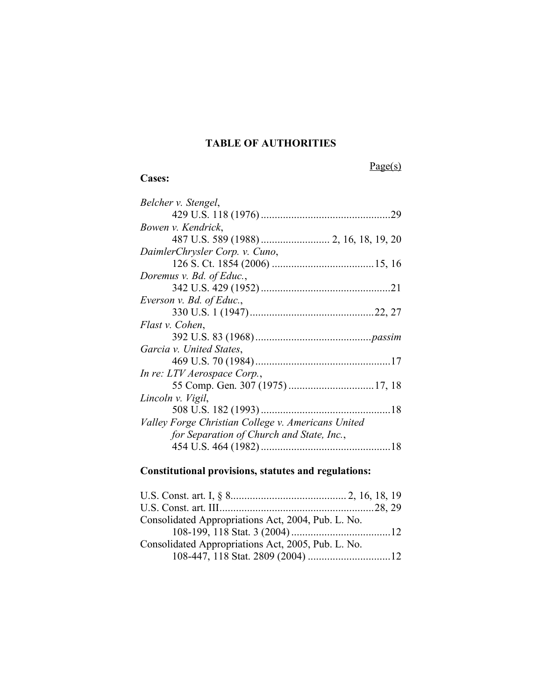## **TABLE OF AUTHORITIES**

Page(s)

## **Cases:**

| Belcher v. Stengel,                                |     |
|----------------------------------------------------|-----|
|                                                    | .29 |
| Bowen v. Kendrick,                                 |     |
|                                                    |     |
| DaimlerChrysler Corp. v. Cuno,                     |     |
|                                                    |     |
| Doremus v. Bd. of Educ.,                           |     |
|                                                    |     |
| Everson v. Bd. of Educ.,                           |     |
|                                                    |     |
| Flast v. Cohen,                                    |     |
|                                                    |     |
| Garcia v. United States,                           |     |
|                                                    |     |
| In re: LTV Aerospace Corp.,                        |     |
|                                                    |     |
| Lincoln v. Vigil,                                  |     |
| 508 U.S. 182 (1993)                                |     |
| Valley Forge Christian College v. Americans United |     |
| for Separation of Church and State, Inc.,          |     |
|                                                    |     |
|                                                    |     |

# **Constitutional provisions, statutes and regulations:**

| Consolidated Appropriations Act, 2004, Pub. L. No. |  |
|----------------------------------------------------|--|
|                                                    |  |
| Consolidated Appropriations Act, 2005, Pub. L. No. |  |
|                                                    |  |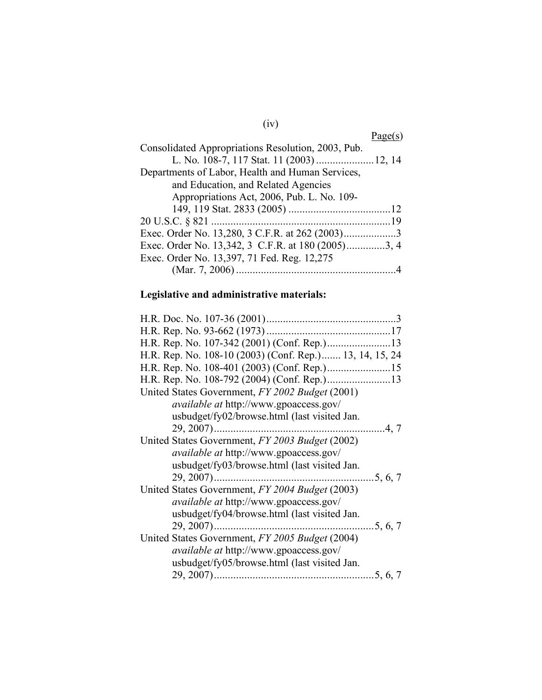# (iv)

|                                                    | Page(s) |
|----------------------------------------------------|---------|
| Consolidated Appropriations Resolution, 2003, Pub. |         |
| L. No. 108-7, 117 Stat. 11 (2003)  12, 14          |         |
| Departments of Labor, Health and Human Services,   |         |
| and Education, and Related Agencies                |         |
| Appropriations Act, 2006, Pub. L. No. 109-         |         |
|                                                    |         |
|                                                    |         |
|                                                    |         |
| Exec. Order No. 13,342, 3 C.F.R. at 180 (2005)3, 4 |         |
| Exec. Order No. 13,397, 71 Fed. Reg. 12,275        |         |
|                                                    |         |
|                                                    |         |

# **Legislative and administrative materials:**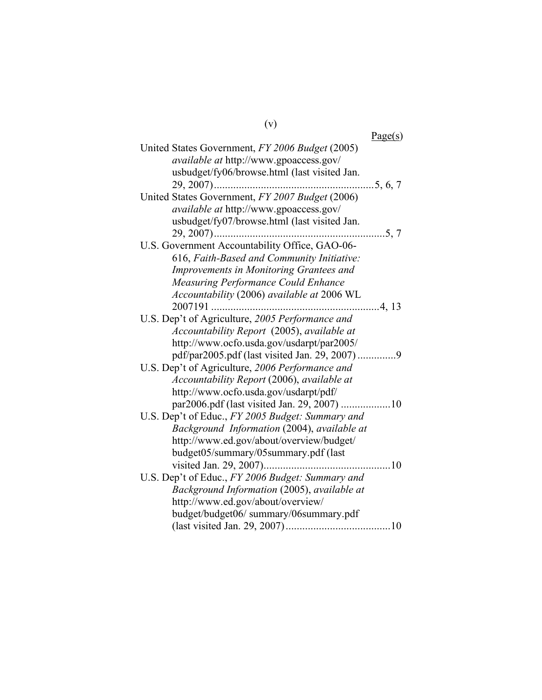|                                                  | Page(s) |
|--------------------------------------------------|---------|
| United States Government, FY 2006 Budget (2005)  |         |
| available at http://www.gpoaccess.gov/           |         |
| usbudget/fy06/browse.html (last visited Jan.     |         |
|                                                  |         |
| United States Government, FY 2007 Budget (2006)  |         |
| available at http://www.gpoaccess.gov/           |         |
| usbudget/fy07/browse.html (last visited Jan.     |         |
|                                                  |         |
| U.S. Government Accountability Office, GAO-06-   |         |
| 616, Faith-Based and Community Initiative:       |         |
| Improvements in Monitoring Grantees and          |         |
| <b>Measuring Performance Could Enhance</b>       |         |
| Accountability (2006) available at 2006 WL       |         |
| 2007191                                          | 4, 13   |
| U.S. Dep't of Agriculture, 2005 Performance and  |         |
| Accountability Report (2005), available at       |         |
| http://www.ocfo.usda.gov/usdarpt/par2005/        |         |
| pdf/par2005.pdf (last visited Jan. 29, 2007) 9   |         |
| U.S. Dep't of Agriculture, 2006 Performance and  |         |
| Accountability Report (2006), available at       |         |
| http://www.ocfo.usda.gov/usdarpt/pdf/            |         |
| par2006.pdf (last visited Jan. 29, 2007) 10      |         |
| U.S. Dep't of Educ., FY 2005 Budget: Summary and |         |
| Background Information (2004), available at      |         |
| http://www.ed.gov/about/overview/budget/         |         |
| budget05/summary/05summary.pdf (last             |         |
|                                                  |         |
| U.S. Dep't of Educ., FY 2006 Budget: Summary and |         |
| Background Information (2005), available at      |         |
| http://www.ed.gov/about/overview/                |         |
| budget/budget06/ summary/06summary.pdf           |         |
|                                                  |         |

(v)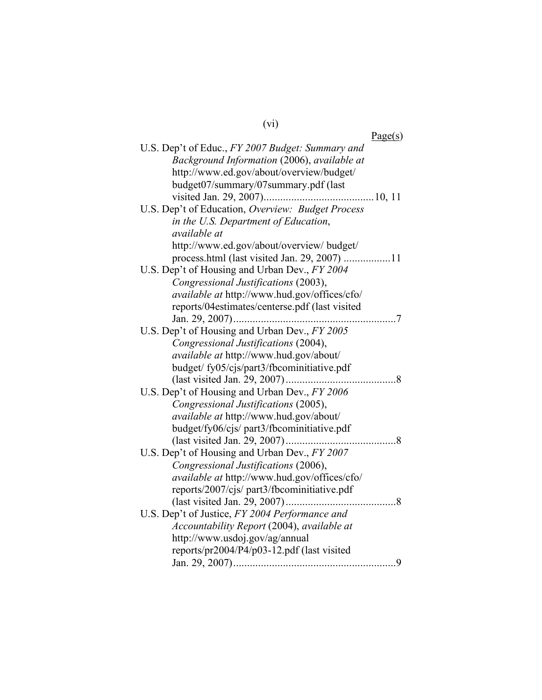# (vi)

| Page(s)                                             |
|-----------------------------------------------------|
| U.S. Dep't of Educ., FY 2007 Budget: Summary and    |
| Background Information (2006), available at         |
| http://www.ed.gov/about/overview/budget/            |
| budget07/summary/07summary.pdf (last                |
|                                                     |
| U.S. Dep't of Education, Overview: Budget Process   |
| in the U.S. Department of Education,                |
| available at                                        |
| http://www.ed.gov/about/overview/ budget/           |
| process.html (last visited Jan. 29, 2007) 11        |
| U.S. Dep't of Housing and Urban Dev., FY 2004       |
| Congressional Justifications (2003),                |
| available at http://www.hud.gov/offices/cfo/        |
| reports/04estimates/centerse.pdf (last visited      |
|                                                     |
| U.S. Dep't of Housing and Urban Dev., FY 2005       |
| Congressional Justifications (2004),                |
| available at http://www.hud.gov/about/              |
| budget/fy05/cjs/part3/fbcominitiative.pdf           |
|                                                     |
| U.S. Dep't of Housing and Urban Dev., FY 2006       |
| Congressional Justifications (2005),                |
| available at http://www.hud.gov/about/              |
| budget/fy06/cjs/ part3/fbcominitiative.pdf          |
| (last visited Jan. 29, 2007)<br>. 8                 |
| U.S. Dep't of Housing and Urban Dev., FY 2007       |
| Congressional Justifications (2006),                |
| <i>available at http://www.hud.gov/offices/cfo/</i> |
| reports/2007/cjs/ part3/fbcominitiative.pdf         |
|                                                     |
| U.S. Dep't of Justice, FY 2004 Performance and      |
| Accountability Report (2004), available at          |
| http://www.usdoj.gov/ag/annual                      |
| reports/pr2004/P4/p03-12.pdf (last visited          |
|                                                     |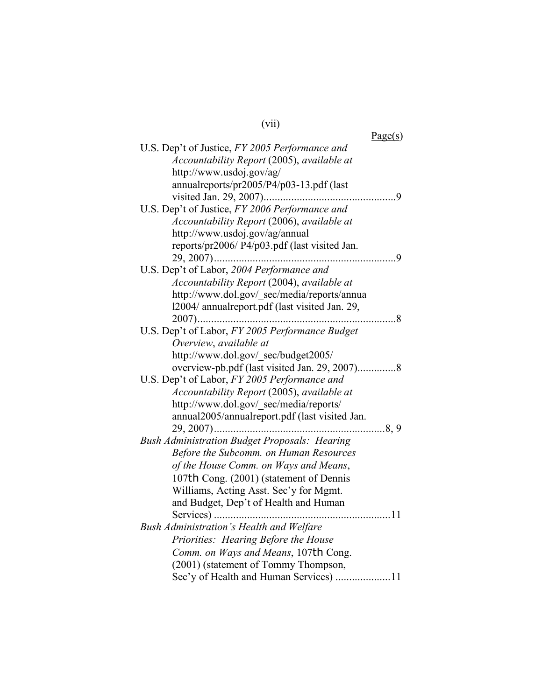| (V11) |  |
|-------|--|
|       |  |

| Page(s)                                              |  |
|------------------------------------------------------|--|
| U.S. Dep't of Justice, FY 2005 Performance and       |  |
| Accountability Report (2005), available at           |  |
| http://www.usdoj.gov/ag/                             |  |
| annualreports/pr2005/P4/p03-13.pdf (last             |  |
|                                                      |  |
| U.S. Dep't of Justice, FY 2006 Performance and       |  |
| Accountability Report (2006), available at           |  |
| http://www.usdoj.gov/ag/annual                       |  |
| reports/pr2006/ P4/p03.pdf (last visited Jan.        |  |
|                                                      |  |
| U.S. Dep't of Labor, 2004 Performance and            |  |
| Accountability Report (2004), available at           |  |
| http://www.dol.gov/ sec/media/reports/annua          |  |
| 12004/annualreport.pdf (last visited Jan. 29,        |  |
| $2007)$<br>- 8                                       |  |
| U.S. Dep't of Labor, FY 2005 Performance Budget      |  |
| Overview, available at                               |  |
| http://www.dol.gov/_sec/budget2005/                  |  |
| overview-pb.pdf (last visited Jan. 29, 2007)8        |  |
| U.S. Dep't of Labor, FY 2005 Performance and         |  |
| Accountability Report (2005), available at           |  |
| http://www.dol.gov/ sec/media/reports/               |  |
| annual2005/annualreport.pdf (last visited Jan.       |  |
| 8, 9<br>$29, 2007)$                                  |  |
| <b>Bush Administration Budget Proposals: Hearing</b> |  |
| Before the Subcomm. on Human Resources               |  |
| of the House Comm. on Ways and Means,                |  |
| 107th Cong. (2001) (statement of Dennis              |  |
| Williams, Acting Asst. Sec'y for Mgmt.               |  |
| and Budget, Dep't of Health and Human                |  |
| Services)<br>11                                      |  |
| Bush Administration's Health and Welfare             |  |
| Priorities: Hearing Before the House                 |  |
| Comm. on Ways and Means, 107th Cong.                 |  |
| (2001) (statement of Tommy Thompson,                 |  |
| Sec'y of Health and Human Services) 11               |  |
|                                                      |  |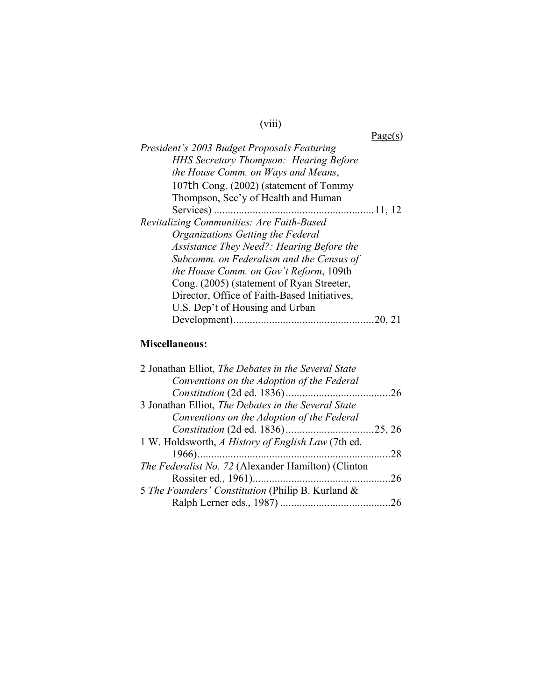# (viii)

Page(s)

| President's 2003 Budget Proposals Featuring   |
|-----------------------------------------------|
| <b>HHS Secretary Thompson: Hearing Before</b> |
| the House Comm. on Ways and Means,            |
| 107th Cong. (2002) (statement of Tommy        |
| Thompson, Sec'y of Health and Human           |
|                                               |
| Revitalizing Communities: Are Faith-Based     |
| Organizations Getting the Federal             |
| Assistance They Need?: Hearing Before the     |
| Subcomm. on Federalism and the Census of      |
| the House Comm. on Gov't Reform, 109th        |
| Cong. (2005) (statement of Ryan Streeter,     |
| Director, Office of Faith-Based Initiatives,  |
| U.S. Dep't of Housing and Urban               |
| 20, 21                                        |
|                                               |

## **Miscellaneous:**

| -28 |
|-----|
|     |
|     |
|     |
|     |
|     |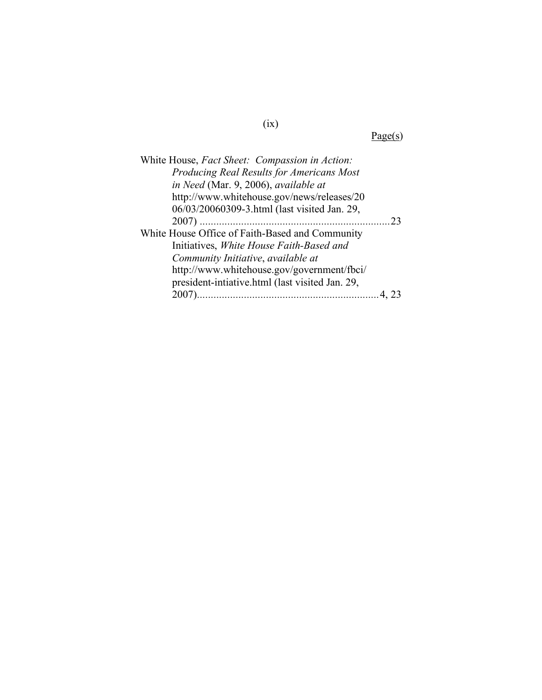Page(s)

| White House, Fact Sheet: Compassion in Action:  |  |
|-------------------------------------------------|--|
| Producing Real Results for Americans Most       |  |
| in Need (Mar. 9, 2006), available at            |  |
| http://www.whitehouse.gov/news/releases/20      |  |
| 06/03/20060309-3.html (last visited Jan. 29,    |  |
|                                                 |  |
| White House Office of Faith-Based and Community |  |
| Initiatives, White House Faith-Based and        |  |
| Community Initiative, available at              |  |
| http://www.whitehouse.gov/government/fbci/      |  |
| president-intiative.html (last visited Jan. 29, |  |
| 2007)                                           |  |
|                                                 |  |

(ix)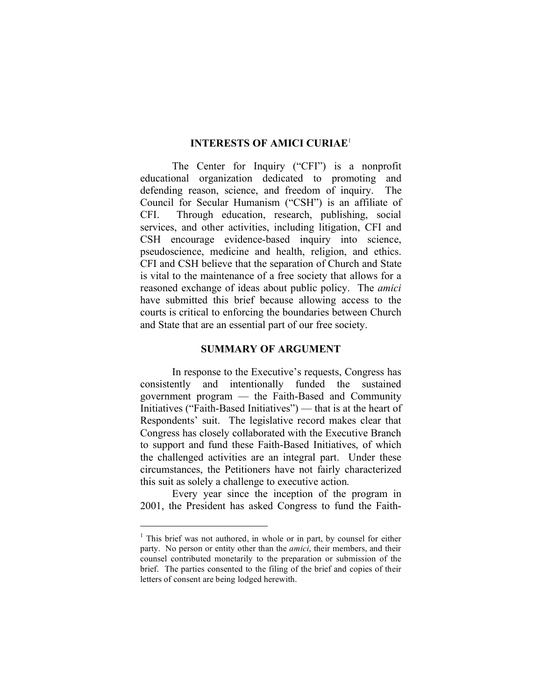#### **INTERESTS OF AMICI CURIAE**<sup>1</sup>

The Center for Inquiry ("CFI") is a nonprofit educational organization dedicated to promoting and defending reason, science, and freedom of inquiry. The Council for Secular Humanism ("CSH") is an affiliate of CFI. Through education, research, publishing, social services, and other activities, including litigation, CFI and CSH encourage evidence-based inquiry into science, pseudoscience, medicine and health, religion, and ethics. CFI and CSH believe that the separation of Church and State is vital to the maintenance of a free society that allows for a reasoned exchange of ideas about public policy. The *amici* have submitted this brief because allowing access to the courts is critical to enforcing the boundaries between Church and State that are an essential part of our free society.

#### **SUMMARY OF ARGUMENT**

In response to the Executive's requests, Congress has consistently and intentionally funded the sustained government program — the Faith-Based and Community Initiatives ("Faith-Based Initiatives") — that is at the heart of Respondents' suit. The legislative record makes clear that Congress has closely collaborated with the Executive Branch to support and fund these Faith-Based Initiatives, of which the challenged activities are an integral part. Under these circumstances, the Petitioners have not fairly characterized this suit as solely a challenge to executive action.

Every year since the inception of the program in 2001, the President has asked Congress to fund the Faith-

<sup>&</sup>lt;sup>1</sup> This brief was not authored, in whole or in part, by counsel for either party. No person or entity other than the *amici*, their members, and their counsel contributed monetarily to the preparation or submission of the brief. The parties consented to the filing of the brief and copies of their letters of consent are being lodged herewith.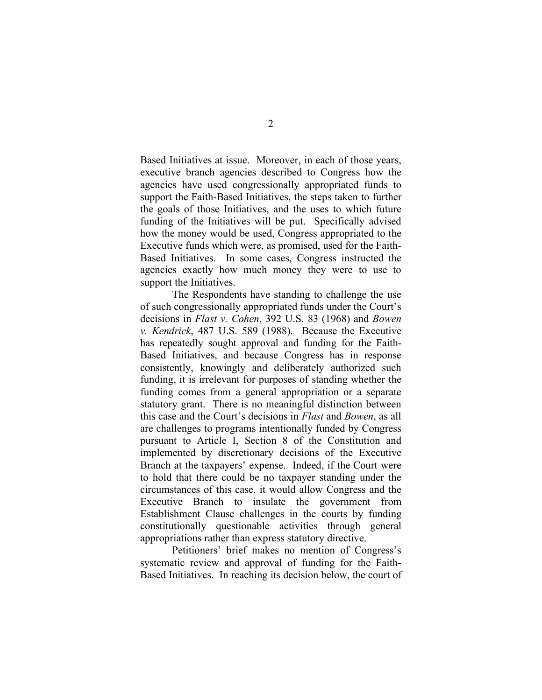Based Initiatives at issue. Moreover, in each of those years, executive branch agencies described to Congress how the agencies have used congressionally appropriated funds to support the Faith-Based Initiatives, the steps taken to further the goals of those Initiatives, and the uses to which future funding of the Initiatives will be put. Specifically advised how the money would be used, Congress appropriated to the Executive funds which were, as promised, used for the Faith-Based Initiatives. In some cases, Congress instructed the agencies exactly how much money they were to use to support the Initiatives.

The Respondents have standing to challenge the use of such congressionally appropriated funds under the Court's decisions in *Flast v. Cohen*, 392 U.S. 83 (1968) and *Bowen v. Kendrick*, 487 U.S. 589 (1988). Because the Executive has repeatedly sought approval and funding for the Faith-Based Initiatives, and because Congress has in response consistently, knowingly and deliberately authorized such funding, it is irrelevant for purposes of standing whether the funding comes from a general appropriation or a separate statutory grant. There is no meaningful distinction between this case and the Court's decisions in *Flast* and *Bowen*, as all are challenges to programs intentionally funded by Congress pursuant to Article I, Section 8 of the Constitution and implemented by discretionary decisions of the Executive Branch at the taxpayers' expense. Indeed, if the Court were to hold that there could be no taxpayer standing under the circumstances of this case, it would allow Congress and the Executive Branch to insulate the government from Establishment Clause challenges in the courts by funding constitutionally questionable activities through general appropriations rather than express statutory directive.

Petitioners' brief makes no mention of Congress's systematic review and approval of funding for the Faith-Based Initiatives. In reaching its decision below, the court of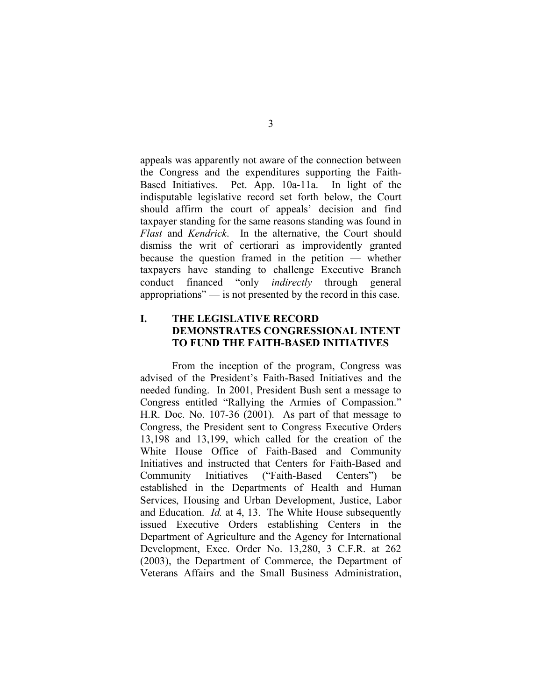appeals was apparently not aware of the connection between the Congress and the expenditures supporting the Faith-Based Initiatives. Pet. App. 10a-11a. In light of the indisputable legislative record set forth below, the Court should affirm the court of appeals' decision and find taxpayer standing for the same reasons standing was found in *Flast* and *Kendrick*. In the alternative, the Court should dismiss the writ of certiorari as improvidently granted because the question framed in the petition — whether taxpayers have standing to challenge Executive Branch conduct financed "only *indirectly* through general appropriations" — is not presented by the record in this case.

## **I. THE LEGISLATIVE RECORD DEMONSTRATES CONGRESSIONAL INTENT TO FUND THE FAITH-BASED INITIATIVES**

From the inception of the program, Congress was advised of the President's Faith-Based Initiatives and the needed funding. In 2001, President Bush sent a message to Congress entitled "Rallying the Armies of Compassion." H.R. Doc. No. 107-36 (2001). As part of that message to Congress, the President sent to Congress Executive Orders 13,198 and 13,199, which called for the creation of the White House Office of Faith-Based and Community Initiatives and instructed that Centers for Faith-Based and Community Initiatives ("Faith-Based Centers") be established in the Departments of Health and Human Services, Housing and Urban Development, Justice, Labor and Education. *Id.* at 4, 13. The White House subsequently issued Executive Orders establishing Centers in the Department of Agriculture and the Agency for International Development, Exec. Order No. 13,280, 3 C.F.R. at 262 (2003), the Department of Commerce, the Department of Veterans Affairs and the Small Business Administration,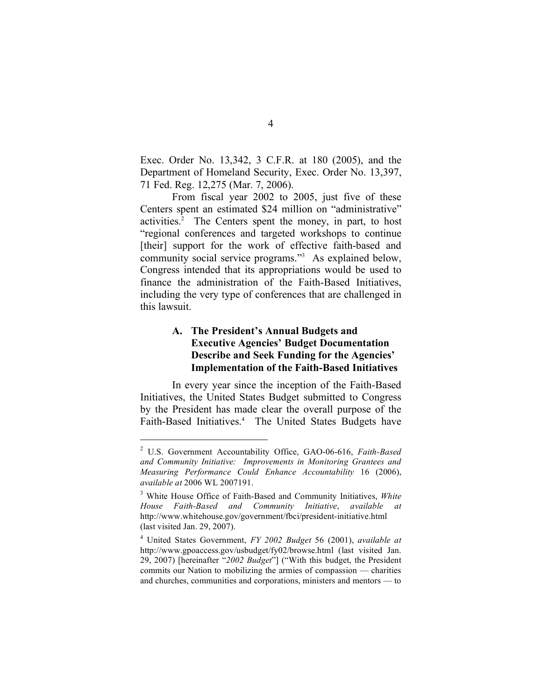Exec. Order No. 13,342, 3 C.F.R. at 180 (2005), and the Department of Homeland Security, Exec. Order No. 13,397, 71 Fed. Reg. 12,275 (Mar. 7, 2006).

From fiscal year 2002 to 2005, just five of these Centers spent an estimated \$24 million on "administrative" activities. <sup>2</sup> The Centers spent the money, in part, to host "regional conferences and targeted workshops to continue [their] support for the work of effective faith-based and community social service programs."3 As explained below, Congress intended that its appropriations would be used to finance the administration of the Faith-Based Initiatives, including the very type of conferences that are challenged in this lawsuit.

### **A. The President's Annual Budgets and Executive Agencies' Budget Documentation Describe and Seek Funding for the Agencies' Implementation of the Faith-Based Initiatives**

In every year since the inception of the Faith-Based Initiatives, the United States Budget submitted to Congress by the President has made clear the overall purpose of the Faith-Based Initiatives. <sup>4</sup> The United States Budgets have

 <sup>2</sup> U.S. Government Accountability Office, GAO-06-616, *Faith-Based and Community Initiative: Improvements in Monitoring Grantees and Measuring Performance Could Enhance Accountability* 16 (2006), *available at* 2006 WL 2007191.

<sup>3</sup> White House Office of Faith-Based and Community Initiatives, *White House Faith-Based and Community Initiative*, *available at* http://www.whitehouse.gov/government/fbci/president-initiative.html (last visited Jan. 29, 2007).

<sup>4</sup> United States Government, *FY 2002 Budget* 56 (2001), *available at* http://www.gpoaccess.gov/usbudget/fy02/browse.html (last visited Jan. 29, 2007) [hereinafter "*2002 Budget*"] ("With this budget, the President commits our Nation to mobilizing the armies of compassion — charities and churches, communities and corporations, ministers and mentors — to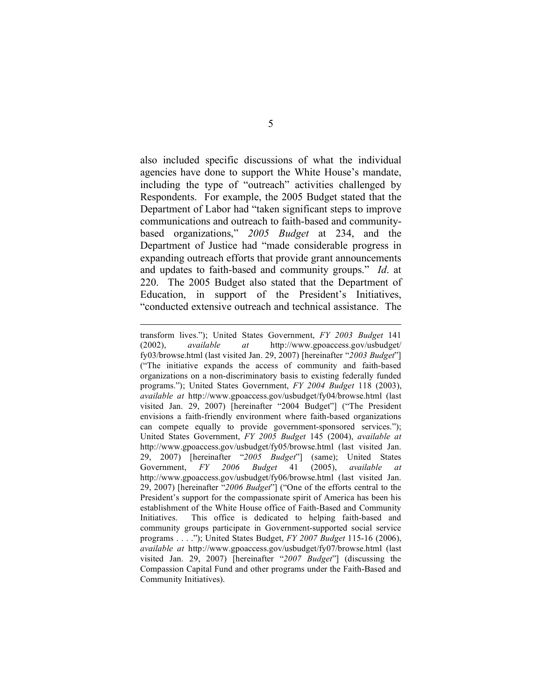also included specific discussions of what the individual agencies have done to support the White House's mandate, including the type of "outreach" activities challenged by Respondents. For example, the 2005 Budget stated that the Department of Labor had "taken significant steps to improve communications and outreach to faith-based and communitybased organizations," *2005 Budget* at 234, and the Department of Justice had "made considerable progress in expanding outreach efforts that provide grant announcements and updates to faith-based and community groups." *Id*. at 220. The 2005 Budget also stated that the Department of Education, in support of the President's Initiatives, "conducted extensive outreach and technical assistance. The

 $\overline{a}$ 

transform lives."); United States Government, *FY 2003 Budget* 141 (2002), *available at* http://www.gpoaccess.gov/usbudget/ fy03/browse.html (last visited Jan. 29, 2007) [hereinafter "*2003 Budget*"] ("The initiative expands the access of community and faith-based organizations on a non-discriminatory basis to existing federally funded programs."); United States Government, *FY 2004 Budget* 118 (2003), *available at* http://www.gpoaccess.gov/usbudget/fy04/browse.html (last visited Jan. 29, 2007) [hereinafter "2004 Budget"] ("The President envisions a faith-friendly environment where faith-based organizations can compete equally to provide government-sponsored services."); United States Government, *FY 2005 Budget* 145 (2004), *available at* http://www.gpoaccess.gov/usbudget/fy05/browse.html (last visited Jan. 29, 2007) [hereinafter "*2005 Budget*"] (same); United States Government, *FY 2006 Budget* 41 (2005), *available at* http://www.gpoaccess.gov/usbudget/fy06/browse.html (last visited Jan. 29, 2007) [hereinafter "*2006 Budget*"] ("One of the efforts central to the President's support for the compassionate spirit of America has been his establishment of the White House office of Faith-Based and Community Initiatives. This office is dedicated to helping faith-based and community groups participate in Government-supported social service programs . . . ."); United States Budget, *FY 2007 Budget* 115-16 (2006), *available at* http://www.gpoaccess.gov/usbudget/fy07/browse.html (last visited Jan. 29, 2007) [hereinafter "*2007 Budget*"] (discussing the Compassion Capital Fund and other programs under the Faith-Based and Community Initiatives).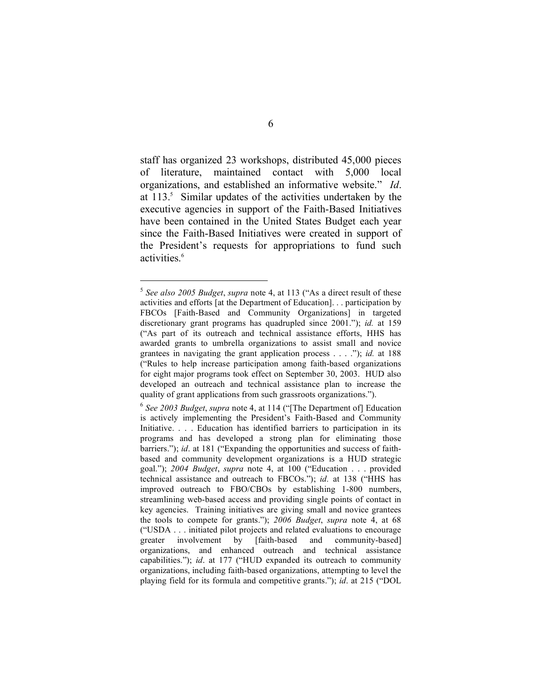staff has organized 23 workshops, distributed 45,000 pieces of literature, maintained contact with 5,000 local organizations, and established an informative website." *Id*. at  $113<sup>5</sup>$  Similar updates of the activities undertaken by the executive agencies in support of the Faith-Based Initiatives have been contained in the United States Budget each year since the Faith-Based Initiatives were created in support of the President's requests for appropriations to fund such activities. 6

 <sup>5</sup> *See also <sup>2005</sup> Budget*, *supra* note 4, at <sup>113</sup> ("As <sup>a</sup> direct result of these activities and efforts [at the Department of Education]. . . participation by FBCOs [Faith-Based and Community Organizations] in targeted discretionary grant programs has quadrupled since 2001."); *id.* at 159 ("As part of its outreach and technical assistance efforts, HHS has awarded grants to umbrella organizations to assist small and novice grantees in navigating the grant application process . . . ."); *id.* at 188 ("Rules to help increase participation among faith-based organizations for eight major programs took effect on September 30, 2003. HUD also developed an outreach and technical assistance plan to increase the quality of grant applications from such grassroots organizations.").

<sup>6</sup> *See 2003 Budget*, *supra* note 4, at 114 ("[The Department of] Education is actively implementing the President's Faith-Based and Community Initiative. . . . Education has identified barriers to participation in its programs and has developed a strong plan for eliminating those barriers."); *id*. at 181 ("Expanding the opportunities and success of faithbased and community development organizations is a HUD strategic goal."); *2004 Budget*, *supra* note 4, at 100 ("Education . . . provided technical assistance and outreach to FBCOs."); *id.* at 138 ("HHS has improved outreach to FBO/CBOs by establishing 1-800 numbers, streamlining web-based access and providing single points of contact in key agencies. Training initiatives are giving small and novice grantees the tools to compete for grants."); *2006 Budget*, *supra* note 4, at 68 ("USDA . . . initiated pilot projects and related evaluations to encourage greater involvement by [faith-based and community-based] organizations, and enhanced outreach and technical assistance capabilities."); *id*. at 177 ("HUD expanded its outreach to community organizations, including faith-based organizations, attempting to level the playing field for its formula and competitive grants."); *id*. at 215 ("DOL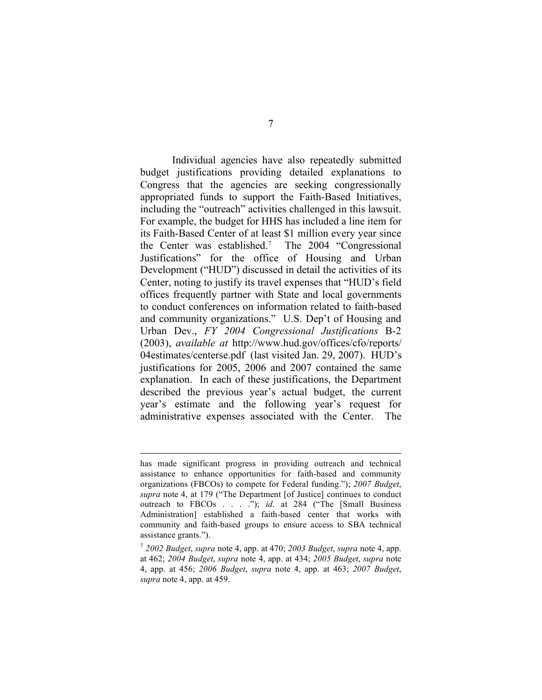Individual agencies have also repeatedly submitted budget justifications providing detailed explanations to Congress that the agencies are seeking congressionally appropriated funds to support the Faith-Based Initiatives, including the "outreach" activities challenged in this lawsuit. For example, the budget for HHS has included a line item for its Faith-Based Center of at least \$1 million every year since the Center was established.7 The 2004 "Congressional Justifications" for the office of Housing and Urban Development ("HUD") discussed in detail the activities of its Center, noting to justify its travel expenses that "HUD's field offices frequently partner with State and local governments to conduct conferences on information related to faith-based and community organizations." U.S. Dep't of Housing and Urban Dev., *FY 2004 Congressional Justifications* B-2 (2003), *available at* http://www.hud.gov/offices/cfo/reports/ 04estimates/centerse.pdf (last visited Jan. 29, 2007). HUD's justifications for 2005, 2006 and 2007 contained the same explanation. In each of these justifications, the Department described the previous year's actual budget, the current year's estimate and the following year's request for administrative expenses associated with the Center. The

has made significant progress in providing outreach and technical assistance to enhance opportunities for faith-based and community organizations (FBCOs) to compete for Federal funding."); *2007 Budget*, *supra* note 4, at 179 ("The Department [of Justice] continues to conduct outreach to FBCOs . . . ."); *id.* at 284 ("The [Small Business Administration] established a faith-based center that works with community and faith-based groups to ensure access to SBA technical assistance grants.").

<sup>7</sup> *2002 Budget*, *supra* note 4, app. at 470; *2003 Budget*, *supra* note 4, app. at 462; *2004 Budget*, *supra* note 4, app. at 434; *2005 Budget*, *supra* note 4, app. at 456; *2006 Budget*, *supra* note 4, app. at 463; *2007 Budget*, *supra* note 4, app. at 459.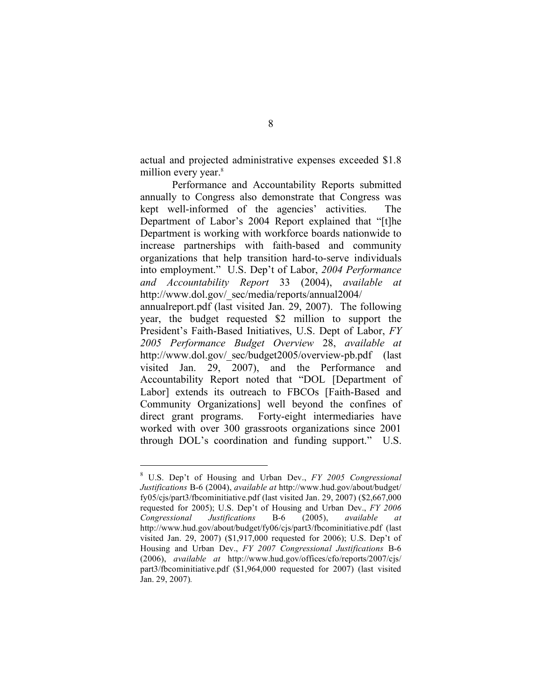actual and projected administrative expenses exceeded \$1.8 million every year.<sup>8</sup>

Performance and Accountability Reports submitted annually to Congress also demonstrate that Congress was kept well-informed of the agencies' activities. The Department of Labor's 2004 Report explained that "[t]he Department is working with workforce boards nationwide to increase partnerships with faith-based and community organizations that help transition hard-to-serve individuals into employment." U.S. Dep't of Labor, *2004 Performance and Accountability Report* 33 (2004), *available at* http://www.dol.gov/\_sec/media/reports/annual2004/

annualreport.pdf (last visited Jan. 29, 2007). The following year, the budget requested \$2 million to support the President's Faith-Based Initiatives, U.S. Dept of Labor, *FY 2005 Performance Budget Overview* 28, *available at* http://www.dol.gov/\_sec/budget2005/overview-pb.pdf (last visited Jan. 29, 2007), and the Performance and Accountability Report noted that "DOL [Department of Labor] extends its outreach to FBCOs [Faith-Based and Community Organizations] well beyond the confines of direct grant programs. Forty-eight intermediaries have worked with over 300 grassroots organizations since 2001 through DOL's coordination and funding support." U.S.

 <sup>8</sup> U.S. Dep't of Housing and Urban Dev., *FY <sup>2005</sup> Congressional Justifications* B-6 (2004), *available at* http://www.hud.gov/about/budget/ fy05/cjs/part3/fbcominitiative.pdf (last visited Jan. 29, 2007) (\$2,667,000 requested for 2005); U.S. Dep't of Housing and Urban Dev., *FY 2006 Congressional Justifications* B-6 (2005), *available at* http://www.hud.gov/about/budget/fy06/cjs/part3/fbcominitiative.pdf (last visited Jan. 29, 2007) (\$1,917,000 requested for 2006); U.S. Dep't of Housing and Urban Dev., *FY 2007 Congressional Justifications* B-6 (2006), *available at* http://www.hud.gov/offices/cfo/reports/2007/cjs/ part3/fbcominitiative.pdf (\$1,964,000 requested for 2007) (last visited Jan. 29, 2007)*.*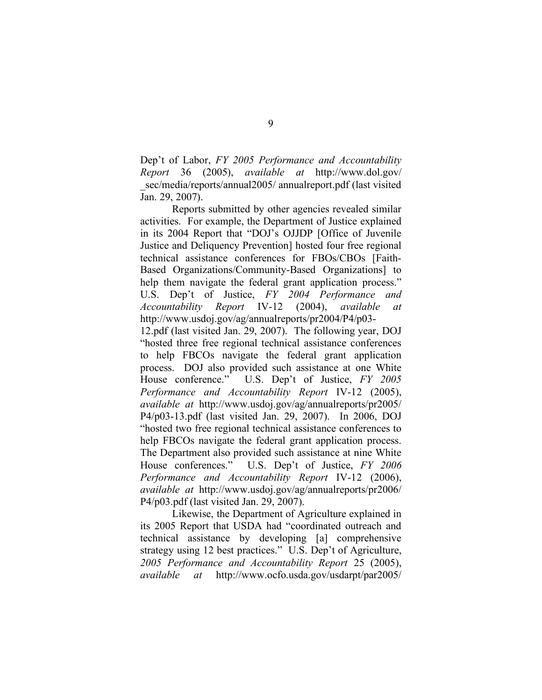Dep't of Labor, *FY 2005 Performance and Accountability Report* 36 (2005), *available at* http://www.dol.gov/ sec/media/reports/annual2005/ annualreport.pdf (last visited Jan. 29, 2007).

Reports submitted by other agencies revealed similar activities. For example, the Department of Justice explained in its 2004 Report that "DOJ's OJJDP [Office of Juvenile Justice and Deliquency Prevention] hosted four free regional technical assistance conferences for FBOs/CBOs [Faith-Based Organizations/Community-Based Organizations] to help them navigate the federal grant application process." U.S. Dep't of Justice, *FY 2004 Performance and Accountability Report* IV-12 (2004), *available at* http://www.usdoj.gov/ag/annualreports/pr2004/P4/p03- 12.pdf (last visited Jan. 29, 2007). The following year, DOJ "hosted three free regional technical assistance conferences to help FBCOs navigate the federal grant application process. DOJ also provided such assistance at one White House conference." U.S. Dep't of Justice, *FY 2005 Performance and Accountability Report* IV-12 (2005), *available at* http://www.usdoj.gov/ag/annualreports/pr2005/ P4/p03-13.pdf (last visited Jan. 29, 2007). In 2006, DOJ "hosted two free regional technical assistance conferences to help FBCOs navigate the federal grant application process. The Department also provided such assistance at nine White House conferences." U.S. Dep't of Justice, *FY 2006 Performance and Accountability Report* IV-12 (2006), *available at* http://www.usdoj.gov/ag/annualreports/pr2006/

Likewise, the Department of Agriculture explained in its 2005 Report that USDA had "coordinated outreach and technical assistance by developing [a] comprehensive strategy using 12 best practices." U.S. Dep't of Agriculture, *2005 Performance and Accountability Report* 25 (2005), *available at* http://www.ocfo.usda.gov/usdarpt/par2005/

P4/p03.pdf (last visited Jan. 29, 2007).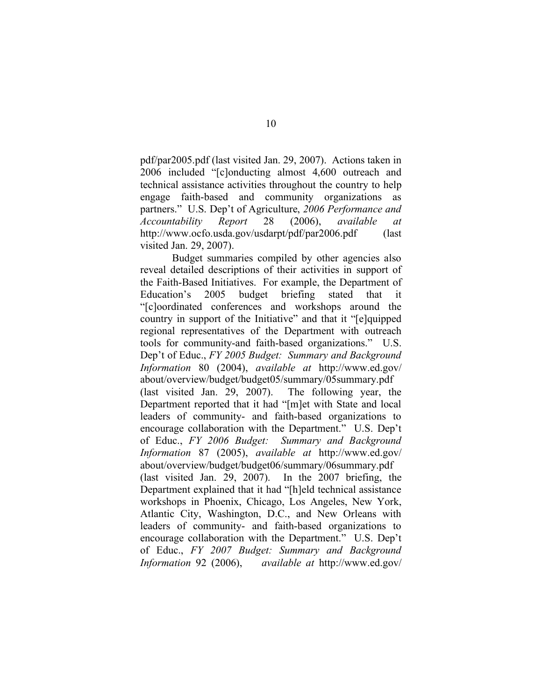pdf/par2005.pdf (last visited Jan. 29, 2007). Actions taken in 2006 included "[c]onducting almost 4,600 outreach and technical assistance activities throughout the country to help engage faith-based and community organizations as partners." U.S. Dep't of Agriculture, *2006 Performance and Accountability Report* 28 (2006), *available at* http://www.ocfo.usda.gov/usdarpt/pdf/par2006.pdf (last visited Jan. 29, 2007).

Budget summaries compiled by other agencies also reveal detailed descriptions of their activities in support of the Faith-Based Initiatives. For example, the Department of Education's 2005 budget briefing stated that it "[c]oordinated conferences and workshops around the country in support of the Initiative" and that it "[e]quipped regional representatives of the Department with outreach tools for community-and faith-based organizations." U.S. Dep't of Educ., *FY 2005 Budget: Summary and Background Information* 80 (2004), *available at* http://www.ed.gov/ about/overview/budget/budget05/summary/05summary.pdf (last visited Jan. 29, 2007). The following year, the Department reported that it had "[m]et with State and local leaders of community- and faith-based organizations to encourage collaboration with the Department." U.S. Dep't of Educ., *FY 2006 Budget: Summary and Background Information* 87 (2005), *available at* http://www.ed.gov/ about/overview/budget/budget06/summary/06summary.pdf

(last visited Jan. 29, 2007). In the 2007 briefing, the Department explained that it had "[h]eld technical assistance workshops in Phoenix, Chicago, Los Angeles, New York, Atlantic City, Washington, D.C., and New Orleans with leaders of community- and faith-based organizations to encourage collaboration with the Department." U.S. Dep't of Educ., *FY 2007 Budget: Summary and Background Information* 92 (2006), *available at* http://www.ed.gov/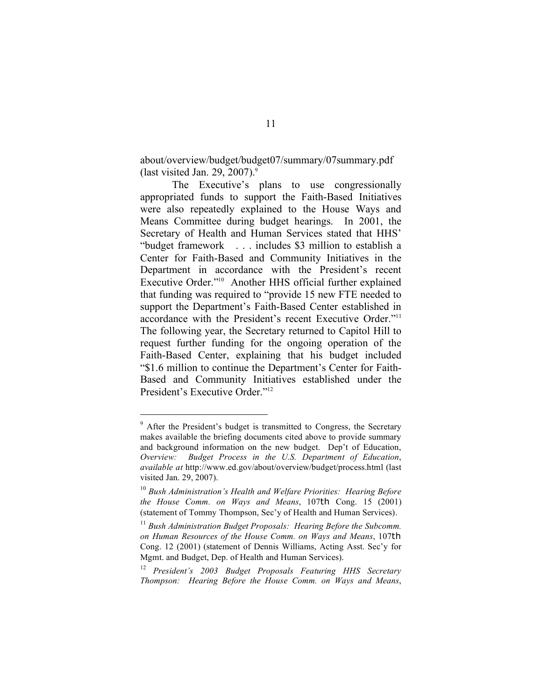about/overview/budget/budget07/summary/07summary.pdf (last visited Jan. 29, 2007). $\degree$ 

The Executive's plans to use congressionally appropriated funds to support the Faith-Based Initiatives were also repeatedly explained to the House Ways and Means Committee during budget hearings. In 2001, the Secretary of Health and Human Services stated that HHS' "budget framework . . . includes \$3 million to establish a Center for Faith-Based and Community Initiatives in the Department in accordance with the President's recent Executive Order."10 Another HHS official further explained that funding was required to "provide 15 new FTE needed to support the Department's Faith-Based Center established in accordance with the President's recent Executive Order."11 The following year, the Secretary returned to Capitol Hill to request further funding for the ongoing operation of the Faith-Based Center, explaining that his budget included "\$1.6 million to continue the Department's Center for Faith-Based and Community Initiatives established under the President's Executive Order."12

<sup>&</sup>lt;sup>9</sup> After the President's budget is transmitted to Congress, the Secretary makes available the briefing documents cited above to provide summary and background information on the new budget. Dep't of Education, *Overview: Budget Process in the U.S. Department of Education*, *available at* http://www.ed.gov/about/overview/budget/process.html (last visited Jan. 29, 2007).

<sup>10</sup> *Bush Administration's Health and Welfare Priorities: Hearing Before the House Comm. on Ways and Means*, 107th Cong. 15 (2001) (statement of Tommy Thompson, Sec'y of Health and Human Services).

<sup>11</sup> *Bush Administration Budget Proposals: Hearing Before the Subcomm. on Human Resources of the House Comm. on Ways and Means*, 107th Cong. 12 (2001) (statement of Dennis Williams, Acting Asst. Sec'y for Mgmt. and Budget, Dep. of Health and Human Services).

<sup>12</sup> *President's 2003 Budget Proposals Featuring HHS Secretary Thompson: Hearing Before the House Comm. on Ways and Means*,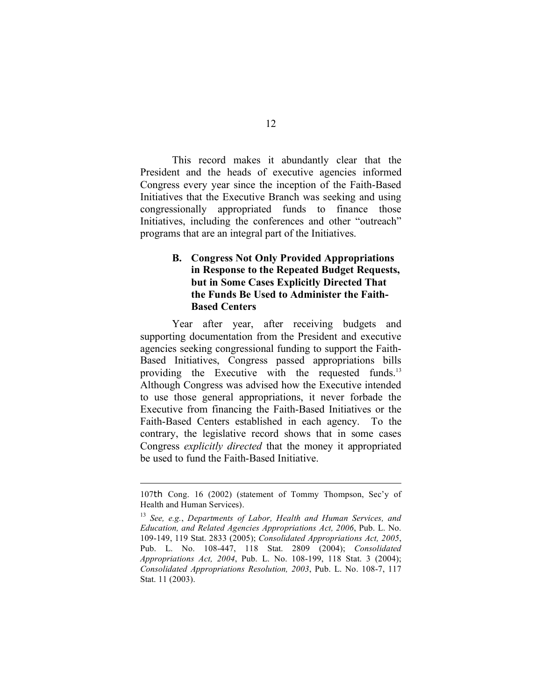This record makes it abundantly clear that the President and the heads of executive agencies informed Congress every year since the inception of the Faith-Based Initiatives that the Executive Branch was seeking and using congressionally appropriated funds to finance those Initiatives, including the conferences and other "outreach" programs that are an integral part of the Initiatives.

## **B. Congress Not Only Provided Appropriations in Response to the Repeated Budget Requests, but in Some Cases Explicitly Directed That the Funds Be Used to Administer the Faith-Based Centers**

Year after year, after receiving budgets and supporting documentation from the President and executive agencies seeking congressional funding to support the Faith-Based Initiatives, Congress passed appropriations bills providing the Executive with the requested funds.<sup>13</sup> Although Congress was advised how the Executive intended to use those general appropriations, it never forbade the Executive from financing the Faith-Based Initiatives or the Faith-Based Centers established in each agency. To the contrary, the legislative record shows that in some cases Congress *explicitly directed* that the money it appropriated be used to fund the Faith-Based Initiative.

 $\overline{a}$ 

<sup>107</sup>th Cong. 16 (2002) (statement of Tommy Thompson, Sec'y of Health and Human Services).

<sup>13</sup> *See, e.g.*, *Departments of Labor, Health and Human Services, and Education, and Related Agencies Appropriations Act, 2006*, Pub. L. No. 109-149, 119 Stat. 2833 (2005); *Consolidated Appropriations Act, 2005*, Pub. L. No. 108-447, 118 Stat. 2809 (2004); *Consolidated Appropriations Act, 2004*, Pub. L. No. 108-199, 118 Stat. 3 (2004); *Consolidated Appropriations Resolution, 2003*, Pub. L. No. 108-7, 117 Stat. 11 (2003).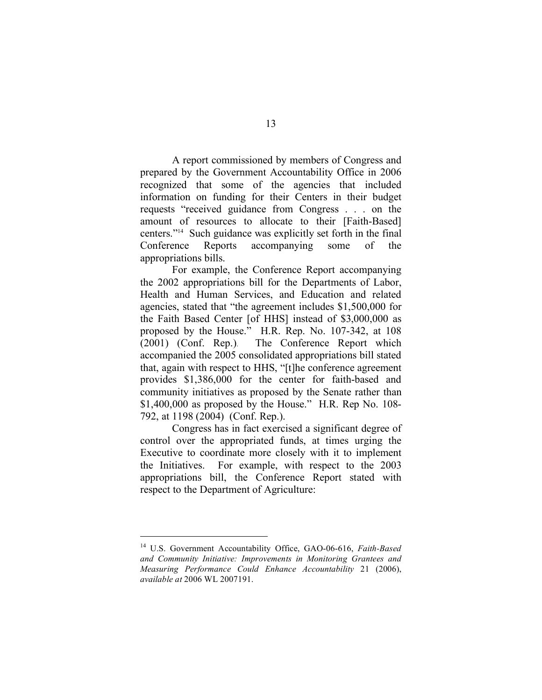A report commissioned by members of Congress and prepared by the Government Accountability Office in 2006 recognized that some of the agencies that included information on funding for their Centers in their budget requests "received guidance from Congress . . . on the amount of resources to allocate to their [Faith-Based] centers."14 Such guidance was explicitly set forth in the final Conference Reports accompanying some of the appropriations bills.

For example, the Conference Report accompanying the 2002 appropriations bill for the Departments of Labor, Health and Human Services, and Education and related agencies, stated that "the agreement includes \$1,500,000 for the Faith Based Center [of HHS] instead of \$3,000,000 as proposed by the House." H.R. Rep. No. 107-342, at 108 (2001) (Conf. Rep.). The Conference Report which accompanied the 2005 consolidated appropriations bill stated that, again with respect to HHS, "[t]he conference agreement provides \$1,386,000 for the center for faith-based and community initiatives as proposed by the Senate rather than \$1,400,000 as proposed by the House." H.R. Rep No. 108- 792, at 1198 (2004) (Conf. Rep.).

Congress has in fact exercised a significant degree of control over the appropriated funds, at times urging the Executive to coordinate more closely with it to implement the Initiatives. For example, with respect to the 2003 appropriations bill, the Conference Report stated with respect to the Department of Agriculture:

 <sup>14</sup> U.S. Government Accountability Office, GAO-06-616, *Faith-Based and Community Initiative: Improvements in Monitoring Grantees and Measuring Performance Could Enhance Accountability* 21 (2006), *available at* 2006 WL 2007191.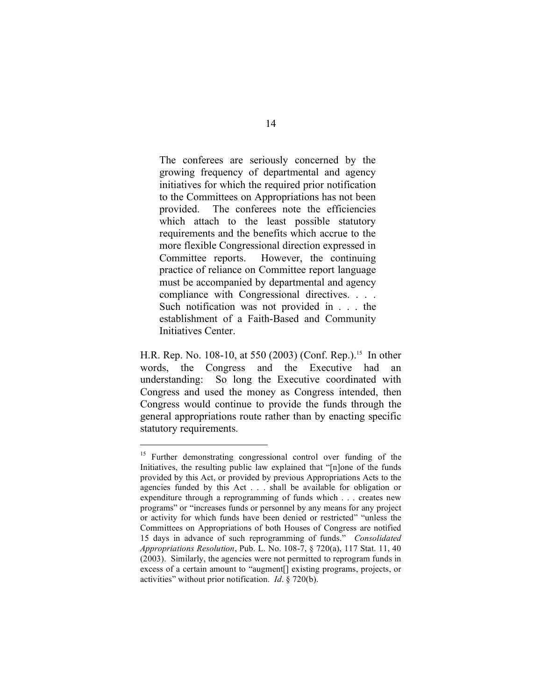The conferees are seriously concerned by the growing frequency of departmental and agency initiatives for which the required prior notification to the Committees on Appropriations has not been provided. The conferees note the efficiencies which attach to the least possible statutory requirements and the benefits which accrue to the more flexible Congressional direction expressed in Committee reports. However, the continuing practice of reliance on Committee report language must be accompanied by departmental and agency compliance with Congressional directives. . . . Such notification was not provided in . . . the establishment of a Faith-Based and Community Initiatives Center.

H.R. Rep. No. 108-10, at 550 (2003) (Conf. Rep.). <sup>15</sup> In other words, the Congress and the Executive had an understanding: So long the Executive coordinated with Congress and used the money as Congress intended, then Congress would continue to provide the funds through the general appropriations route rather than by enacting specific statutory requirements.

<sup>&</sup>lt;sup>15</sup> Further demonstrating congressional control over funding of the Initiatives, the resulting public law explained that "[n]one of the funds provided by this Act, or provided by previous Appropriations Acts to the agencies funded by this Act . . . shall be available for obligation or expenditure through a reprogramming of funds which . . . creates new programs" or "increases funds or personnel by any means for any project or activity for which funds have been denied or restricted" "unless the Committees on Appropriations of both Houses of Congress are notified 15 days in advance of such reprogramming of funds." *Consolidated Appropriations Resolution*, Pub. L. No. 108-7, § 720(a), 117 Stat. 11, 40 (2003). Similarly, the agencies were not permitted to reprogram funds in excess of a certain amount to "augment[] existing programs, projects, or activities" without prior notification. *Id*. § 720(b).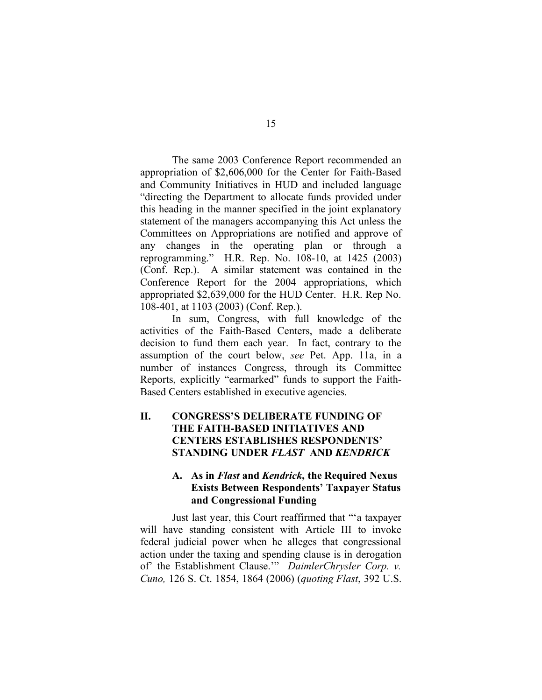The same 2003 Conference Report recommended an appropriation of \$2,606,000 for the Center for Faith-Based and Community Initiatives in HUD and included language "directing the Department to allocate funds provided under this heading in the manner specified in the joint explanatory statement of the managers accompanying this Act unless the Committees on Appropriations are notified and approve of any changes in the operating plan or through a reprogramming." H.R. Rep. No. 108-10, at 1425 (2003) (Conf. Rep.). A similar statement was contained in the Conference Report for the 2004 appropriations, which appropriated \$2,639,000 for the HUD Center. H.R. Rep No. 108-401, at 1103 (2003) (Conf. Rep.).

In sum, Congress, with full knowledge of the activities of the Faith-Based Centers, made a deliberate decision to fund them each year. In fact, contrary to the assumption of the court below, *see* Pet. App. 11a, in a number of instances Congress, through its Committee Reports, explicitly "earmarked" funds to support the Faith-Based Centers established in executive agencies.

## **II. CONGRESS'S DELIBERATE FUNDING OF THE FAITH-BASED INITIATIVES AND CENTERS ESTABLISHES RESPONDENTS' STANDING UNDER** *FLAST* **AND** *KENDRICK*

## **A. As in** *Flast* **and** *Kendrick***, the Required Nexus Exists Between Respondents' Taxpayer Status and Congressional Funding**

Just last year, this Court reaffirmed that "'a taxpayer will have standing consistent with Article III to invoke federal judicial power when he alleges that congressional action under the taxing and spending clause is in derogation of' the Establishment Clause.'" *DaimlerChrysler Corp. v. Cuno,* 126 S. Ct. 1854, 1864 (2006) (*quoting Flast*, 392 U.S.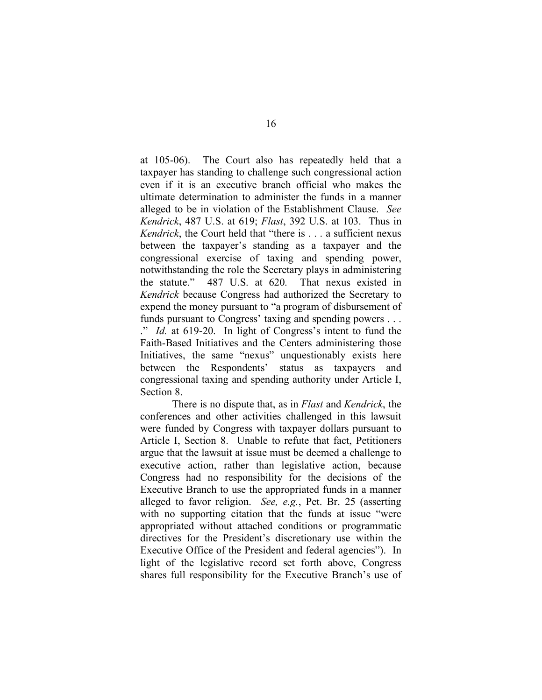at 105-06). The Court also has repeatedly held that a taxpayer has standing to challenge such congressional action even if it is an executive branch official who makes the ultimate determination to administer the funds in a manner alleged to be in violation of the Establishment Clause. *See Kendrick*, 487 U.S. at 619; *Flast*, 392 U.S. at 103. Thus in *Kendrick*, the Court held that "there is . . . a sufficient nexus between the taxpayer's standing as a taxpayer and the congressional exercise of taxing and spending power, notwithstanding the role the Secretary plays in administering the statute." 487 U.S. at 620. That nexus existed in *Kendrick* because Congress had authorized the Secretary to expend the money pursuant to "a program of disbursement of funds pursuant to Congress' taxing and spending powers . . . ." *Id.* at 619-20. In light of Congress's intent to fund the Faith-Based Initiatives and the Centers administering those Initiatives, the same "nexus" unquestionably exists here between the Respondents' status as taxpayers and congressional taxing and spending authority under Article I, Section 8.

There is no dispute that, as in *Flast* and *Kendrick*, the conferences and other activities challenged in this lawsuit were funded by Congress with taxpayer dollars pursuant to Article I, Section 8. Unable to refute that fact, Petitioners argue that the lawsuit at issue must be deemed a challenge to executive action, rather than legislative action, because Congress had no responsibility for the decisions of the Executive Branch to use the appropriated funds in a manner alleged to favor religion. *See, e.g.*, Pet. Br. 25 (asserting with no supporting citation that the funds at issue "were" appropriated without attached conditions or programmatic directives for the President's discretionary use within the Executive Office of the President and federal agencies"). In light of the legislative record set forth above, Congress shares full responsibility for the Executive Branch's use of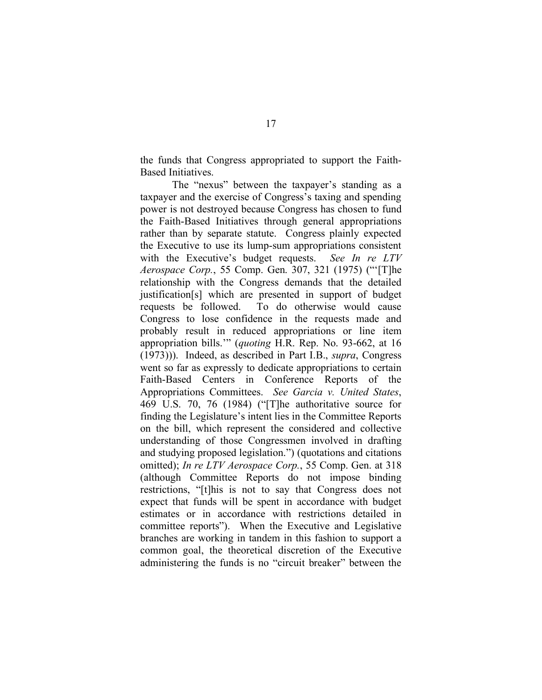the funds that Congress appropriated to support the Faith-Based Initiatives.

The "nexus" between the taxpayer's standing as a taxpayer and the exercise of Congress's taxing and spending power is not destroyed because Congress has chosen to fund the Faith-Based Initiatives through general appropriations rather than by separate statute. Congress plainly expected the Executive to use its lump-sum appropriations consistent with the Executive's budget requests. *See In re LTV Aerospace Corp.*, 55 Comp. Gen. 307, 321 (1975) ("'[T]he relationship with the Congress demands that the detailed justification[s] which are presented in support of budget requests be followed. To do otherwise would cause Congress to lose confidence in the requests made and probably result in reduced appropriations or line item appropriation bills.'" (*quoting* H.R. Rep. No. 93-662, at 16 (1973))). Indeed, as described in Part I.B., *supra*, Congress went so far as expressly to dedicate appropriations to certain Faith-Based Centers in Conference Reports of the Appropriations Committees. *See Garcia v. United States*, 469 U.S. 70, 76 (1984) ("[T]he authoritative source for finding the Legislature's intent lies in the Committee Reports on the bill, which represent the considered and collective understanding of those Congressmen involved in drafting and studying proposed legislation.") (quotations and citations omitted); *In re LTV Aerospace Corp.*, 55 Comp. Gen. at 318 (although Committee Reports do not impose binding restrictions, "[t]his is not to say that Congress does not expect that funds will be spent in accordance with budget estimates or in accordance with restrictions detailed in committee reports"). When the Executive and Legislative branches are working in tandem in this fashion to support a common goal, the theoretical discretion of the Executive administering the funds is no "circuit breaker" between the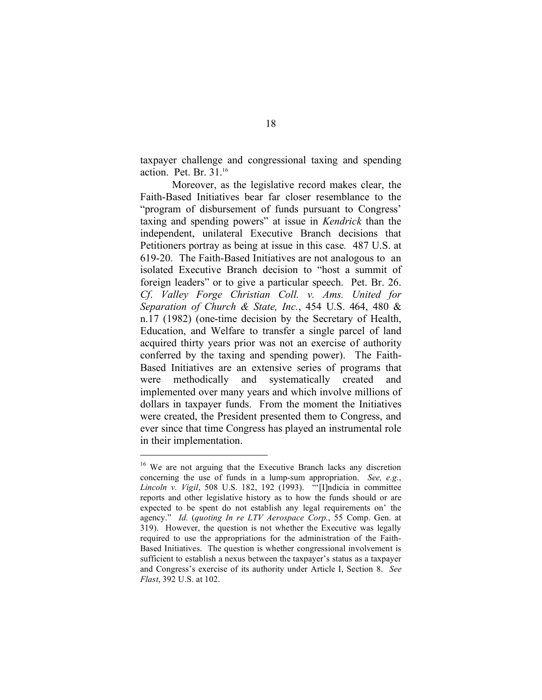taxpayer challenge and congressional taxing and spending action. Pet. Br. 31. 16

Moreover, as the legislative record makes clear, the Faith-Based Initiatives bear far closer resemblance to the "program of disbursement of funds pursuant to Congress' taxing and spending powers" at issue in *Kendrick* than the independent, unilateral Executive Branch decisions that Petitioners portray as being at issue in this case*.* 487 U.S. at 619-20. The Faith-Based Initiatives are not analogous to an isolated Executive Branch decision to "host a summit of foreign leaders" or to give a particular speech. Pet. Br. 26. *Cf*. *Valley Forge Christian Coll. v. Ams. United for Separation of Church & State, Inc.*, 454 U.S. 464, 480 & n.17 (1982) (one-time decision by the Secretary of Health, Education, and Welfare to transfer a single parcel of land acquired thirty years prior was not an exercise of authority conferred by the taxing and spending power). The Faith-Based Initiatives are an extensive series of programs that were methodically and systematically created and implemented over many years and which involve millions of dollars in taxpayer funds. From the moment the Initiatives were created, the President presented them to Congress, and ever since that time Congress has played an instrumental role in their implementation.

<sup>&</sup>lt;sup>16</sup> We are not arguing that the Executive Branch lacks any discretion concerning the use of funds in a lump-sum appropriation. *See, e.g.*, *Lincoln v. Vigil*, 508 U.S. 182, 192 (1993). "'[I]ndicia in committee reports and other legislative history as to how the funds should or are expected to be spent do not establish any legal requirements on' the agency." *Id.* (*quoting In re LTV Aerospace Corp.*, 55 Comp. Gen. at 319). However, the question is not whether the Executive was legally required to use the appropriations for the administration of the Faith-Based Initiatives. The question is whether congressional involvement is sufficient to establish a nexus between the taxpayer's status as a taxpayer and Congress's exercise of its authority under Article I, Section 8. *See Flast*, 392 U.S. at 102.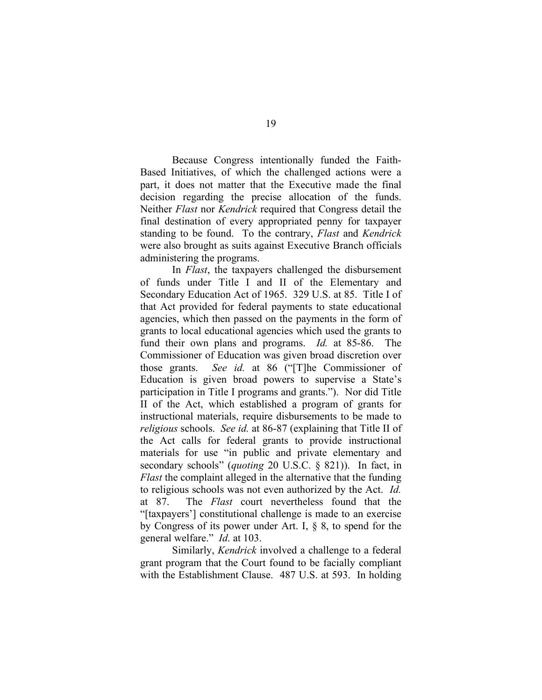Because Congress intentionally funded the Faith-Based Initiatives, of which the challenged actions were a part, it does not matter that the Executive made the final decision regarding the precise allocation of the funds. Neither *Flast* nor *Kendrick* required that Congress detail the final destination of every appropriated penny for taxpayer standing to be found. To the contrary, *Flast* and *Kendrick* were also brought as suits against Executive Branch officials administering the programs.

In *Flast*, the taxpayers challenged the disbursement of funds under Title I and II of the Elementary and Secondary Education Act of 1965. 329 U.S. at 85. Title I of that Act provided for federal payments to state educational agencies, which then passed on the payments in the form of grants to local educational agencies which used the grants to fund their own plans and programs. *Id.* at 85-86. The Commissioner of Education was given broad discretion over those grants. *See id.* at 86 ("[T]he Commissioner of Education is given broad powers to supervise a State's participation in Title I programs and grants."). Nor did Title II of the Act, which established a program of grants for instructional materials, require disbursements to be made to *religious* schools. *See id.* at 86-87 (explaining that Title II of the Act calls for federal grants to provide instructional materials for use "in public and private elementary and secondary schools" (*quoting* 20 U.S.C. § 821)). In fact, in *Flast* the complaint alleged in the alternative that the funding to religious schools was not even authorized by the Act. *Id.* at 87. The *Flast* court nevertheless found that the "[taxpayers'] constitutional challenge is made to an exercise by Congress of its power under Art. I, § 8, to spend for the general welfare." *Id*. at 103.

Similarly, *Kendrick* involved a challenge to a federal grant program that the Court found to be facially compliant with the Establishment Clause. 487 U.S. at 593. In holding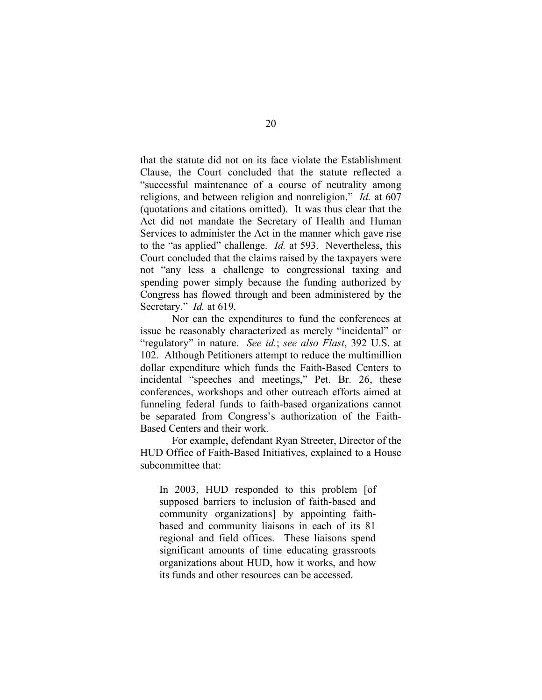that the statute did not on its face violate the Establishment Clause, the Court concluded that the statute reflected a "successful maintenance of a course of neutrality among religions, and between religion and nonreligion." *Id.* at 607 (quotations and citations omitted). It was thus clear that the Act did not mandate the Secretary of Health and Human Services to administer the Act in the manner which gave rise to the "as applied" challenge. *Id.* at 593. Nevertheless, this Court concluded that the claims raised by the taxpayers were not "any less a challenge to congressional taxing and spending power simply because the funding authorized by Congress has flowed through and been administered by the Secretary." *Id.* at 619.

Nor can the expenditures to fund the conferences at issue be reasonably characterized as merely "incidental" or "regulatory" in nature. *See id.*; *see also Flast*, 392 U.S. at 102. Although Petitioners attempt to reduce the multimillion dollar expenditure which funds the Faith-Based Centers to incidental "speeches and meetings," Pet. Br. 26, these conferences, workshops and other outreach efforts aimed at funneling federal funds to faith-based organizations cannot be separated from Congress's authorization of the Faith-Based Centers and their work.

For example, defendant Ryan Streeter, Director of the HUD Office of Faith-Based Initiatives, explained to a House subcommittee that:

In 2003, HUD responded to this problem [of supposed barriers to inclusion of faith-based and community organizations] by appointing faithbased and community liaisons in each of its 81 regional and field offices. These liaisons spend significant amounts of time educating grassroots organizations about HUD, how it works, and how its funds and other resources can be accessed.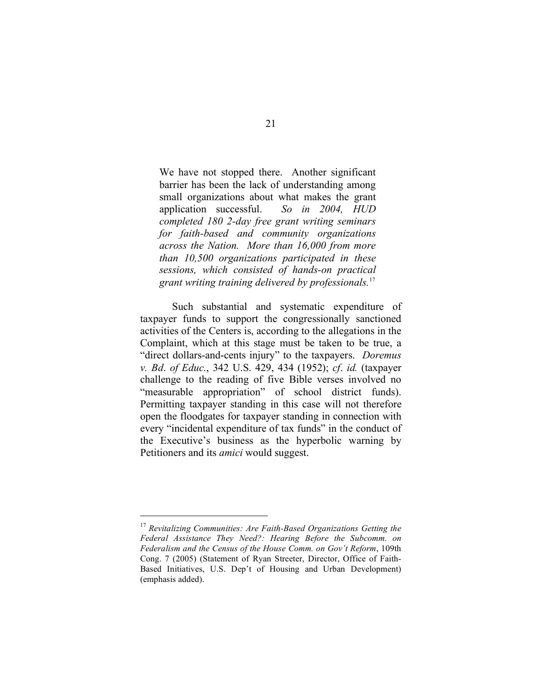We have not stopped there. Another significant barrier has been the lack of understanding among small organizations about what makes the grant application successful. *So in 2004, HUD completed 180 2-day free grant writing seminars for faith-based and community organizations across the Nation. More than 16,000 from more than 10,500 organizations participated in these sessions, which consisted of hands-on practical grant writing training delivered by professionals.* 17

Such substantial and systematic expenditure of taxpayer funds to support the congressionally sanctioned activities of the Centers is, according to the allegations in the Complaint, which at this stage must be taken to be true, a "direct dollars-and-cents injury" to the taxpayers. *Doremus v. Bd*. *of Educ.*, 342 U.S. 429, 434 (1952); *cf*. *id.* (taxpayer challenge to the reading of five Bible verses involved no "measurable appropriation" of school district funds). Permitting taxpayer standing in this case will not therefore open the floodgates for taxpayer standing in connection with every "incidental expenditure of tax funds" in the conduct of the Executive's business as the hyperbolic warning by Petitioners and its *amici* would suggest.

 <sup>17</sup> *Revitalizing Communities: Are Faith-Based Organizations Getting the Federal Assistance They Need?: Hearing Before the Subcomm. on Federalism and the Census of the House Comm. on Gov't Reform*, 109th Cong. 7 (2005) (Statement of Ryan Streeter, Director, Office of Faith-Based Initiatives, U.S. Dep't of Housing and Urban Development) (emphasis added).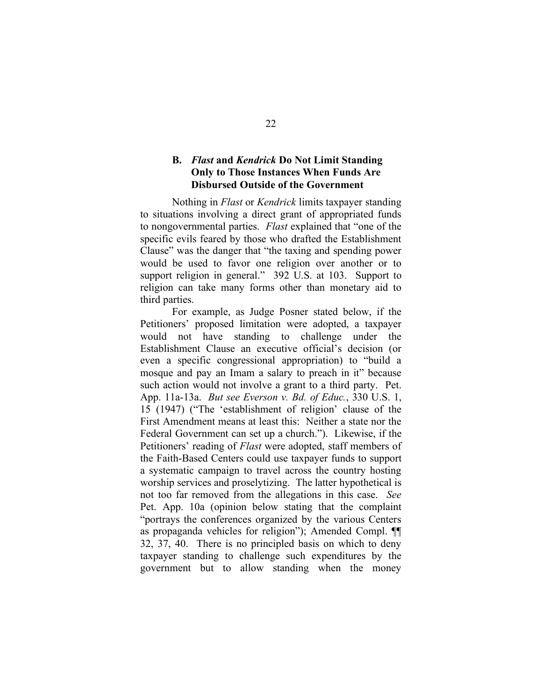#### **B.** *Flast* **and** *Kendrick* **Do Not Limit Standing Only to Those Instances When Funds Are Disbursed Outside of the Government**

Nothing in *Flast* or *Kendrick* limits taxpayer standing to situations involving a direct grant of appropriated funds to nongovernmental parties. *Flast* explained that "one of the specific evils feared by those who drafted the Establishment Clause" was the danger that "the taxing and spending power would be used to favor one religion over another or to support religion in general." 392 U.S. at 103. Support to religion can take many forms other than monetary aid to third parties.

For example, as Judge Posner stated below, if the Petitioners' proposed limitation were adopted, a taxpayer would not have standing to challenge under the Establishment Clause an executive official's decision (or even a specific congressional appropriation) to "build a mosque and pay an Imam a salary to preach in it" because such action would not involve a grant to a third party. Pet. App. 11a-13a. *But see Everson v. Bd. of Educ.*, 330 U.S. 1, 15 (1947) ("The 'establishment of religion' clause of the First Amendment means at least this: Neither a state nor the Federal Government can set up a church."). Likewise, if the Petitioners' reading of *Flast* were adopted, staff members of the Faith-Based Centers could use taxpayer funds to support a systematic campaign to travel across the country hosting worship services and proselytizing. The latter hypothetical is not too far removed from the allegations in this case. *See* Pet. App. 10a (opinion below stating that the complaint "portrays the conferences organized by the various Centers as propaganda vehicles for religion"); Amended Compl. ¶¶ 32, 37, 40. There is no principled basis on which to deny taxpayer standing to challenge such expenditures by the government but to allow standing when the money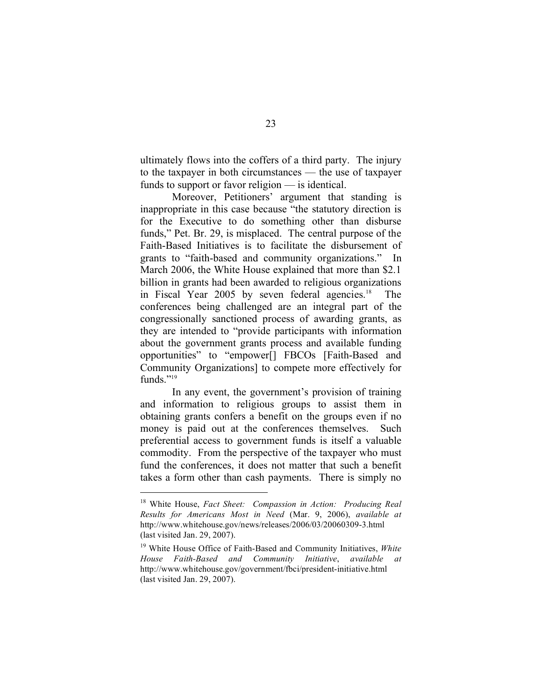ultimately flows into the coffers of a third party. The injury to the taxpayer in both circumstances — the use of taxpayer funds to support or favor religion — is identical.

Moreover, Petitioners' argument that standing is inappropriate in this case because "the statutory direction is for the Executive to do something other than disburse funds," Pet. Br. 29, is misplaced. The central purpose of the Faith-Based Initiatives is to facilitate the disbursement of grants to "faith-based and community organizations." In March 2006, the White House explained that more than \$2.1 billion in grants had been awarded to religious organizations in Fiscal Year 2005 by seven federal agencies. <sup>18</sup> The conferences being challenged are an integral part of the congressionally sanctioned process of awarding grants, as they are intended to "provide participants with information about the government grants process and available funding opportunities" to "empower[] FBCOs [Faith-Based and Community Organizations] to compete more effectively for funds $"$ <sup>19</sup>

In any event, the government's provision of training and information to religious groups to assist them in obtaining grants confers a benefit on the groups even if no money is paid out at the conferences themselves. Such preferential access to government funds is itself a valuable commodity. From the perspective of the taxpayer who must fund the conferences, it does not matter that such a benefit takes a form other than cash payments. There is simply no

 <sup>18</sup> White House, *Fact Sheet: Compassion in Action: Producing Real Results for Americans Most in Need* (Mar. 9, 2006), *available at* http://www.whitehouse.gov/news/releases/2006/03/20060309-3.html (last visited Jan. 29, 2007).

<sup>19</sup> White House Office of Faith-Based and Community Initiatives, *White House Faith-Based and Community Initiative*, *available at* http://www.whitehouse.gov/government/fbci/president-initiative.html (last visited Jan. 29, 2007).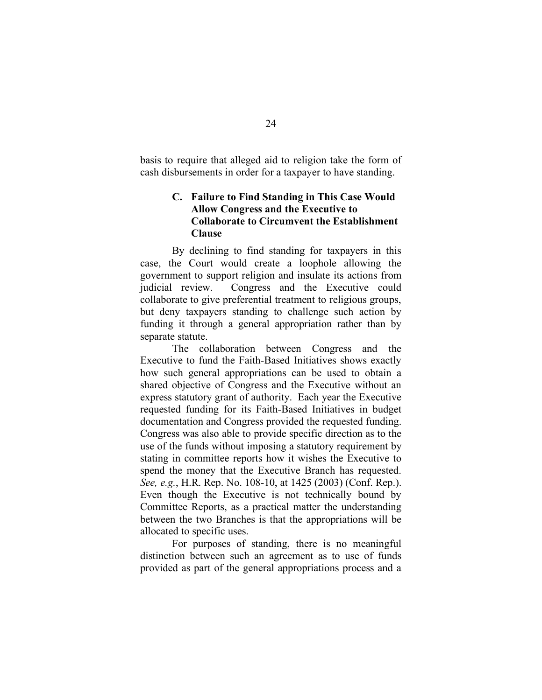basis to require that alleged aid to religion take the form of cash disbursements in order for a taxpayer to have standing.

## **C. Failure to Find Standing in This Case Would Allow Congress and the Executive to Collaborate to Circumvent the Establishment Clause**

By declining to find standing for taxpayers in this case, the Court would create a loophole allowing the government to support religion and insulate its actions from judicial review. Congress and the Executive could collaborate to give preferential treatment to religious groups, but deny taxpayers standing to challenge such action by funding it through a general appropriation rather than by separate statute.

The collaboration between Congress and the Executive to fund the Faith-Based Initiatives shows exactly how such general appropriations can be used to obtain a shared objective of Congress and the Executive without an express statutory grant of authority. Each year the Executive requested funding for its Faith-Based Initiatives in budget documentation and Congress provided the requested funding. Congress was also able to provide specific direction as to the use of the funds without imposing a statutory requirement by stating in committee reports how it wishes the Executive to spend the money that the Executive Branch has requested. *See, e.g.*, H.R. Rep. No. 108-10, at 1425 (2003) (Conf. Rep.). Even though the Executive is not technically bound by Committee Reports, as a practical matter the understanding between the two Branches is that the appropriations will be allocated to specific uses.

For purposes of standing, there is no meaningful distinction between such an agreement as to use of funds provided as part of the general appropriations process and a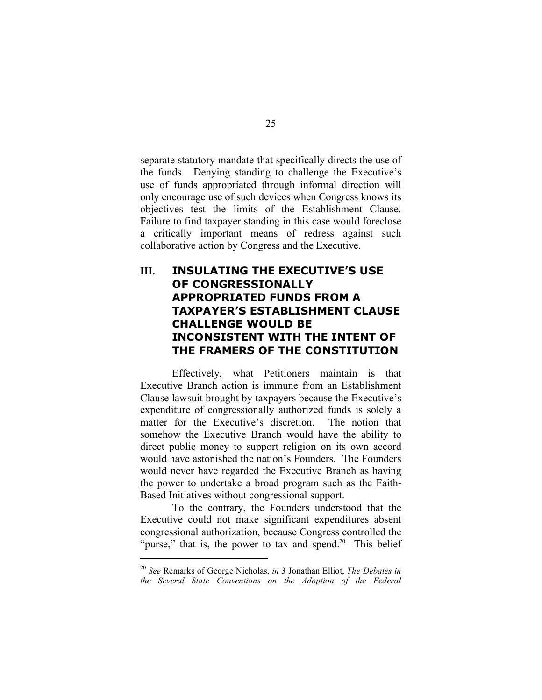separate statutory mandate that specifically directs the use of the funds. Denying standing to challenge the Executive's use of funds appropriated through informal direction will only encourage use of such devices when Congress knows its objectives test the limits of the Establishment Clause. Failure to find taxpayer standing in this case would foreclose a critically important means of redress against such collaborative action by Congress and the Executive.

## **III. INSULATING THE EXECUTIVE'S USE OF CONGRESSIONALLY APPROPRIATED FUNDS FROM A TAXPAYER'S ESTABLISHMENT CLAUSE CHALLENGE WOULD BE INCONSISTENT WITH THE INTENT OF THE FRAMERS OF THE CONSTITUTION**

Effectively, what Petitioners maintain is that Executive Branch action is immune from an Establishment Clause lawsuit brought by taxpayers because the Executive's expenditure of congressionally authorized funds is solely a matter for the Executive's discretion. The notion that somehow the Executive Branch would have the ability to direct public money to support religion on its own accord would have astonished the nation's Founders. The Founders would never have regarded the Executive Branch as having the power to undertake a broad program such as the Faith-Based Initiatives without congressional support.

To the contrary, the Founders understood that the Executive could not make significant expenditures absent congressional authorization, because Congress controlled the "purse," that is, the power to tax and spend.<sup>20</sup> This belief

 <sup>20</sup> *See* Remarks of George Nicholas, *in* <sup>3</sup> Jonathan Elliot, *The Debates in the Several State Conventions on the Adoption of the Federal*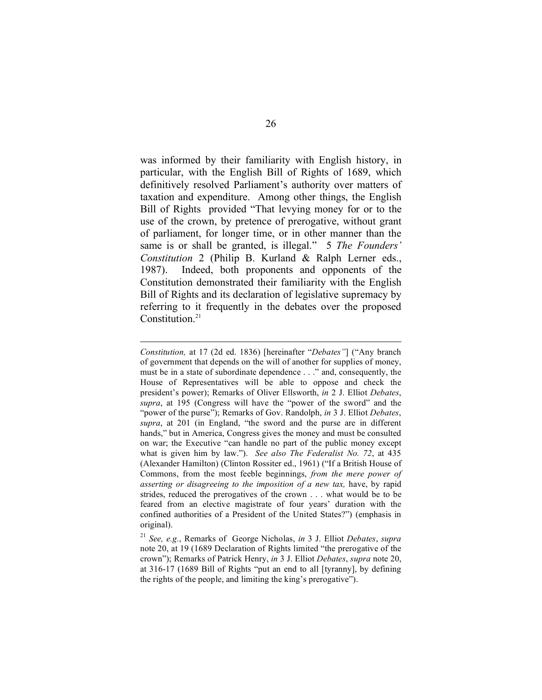was informed by their familiarity with English history, in particular, with the English Bill of Rights of 1689, which definitively resolved Parliament's authority over matters of taxation and expenditure. Among other things, the English Bill of Rights provided "That levying money for or to the use of the crown, by pretence of prerogative, without grant of parliament, for longer time, or in other manner than the same is or shall be granted, is illegal." 5 *The Founders' Constitution* 2 (Philip B. Kurland & Ralph Lerner eds., 1987). Indeed, both proponents and opponents of the Constitution demonstrated their familiarity with the English Bill of Rights and its declaration of legislative supremacy by referring to it frequently in the debates over the proposed Constitution.<sup>21</sup>

 $\overline{a}$ 

*Constitution,* at 17 (2d ed. 1836) [hereinafter "*Debates"*] ("Any branch of government that depends on the will of another for supplies of money, must be in a state of subordinate dependence . . ." and, consequently, the House of Representatives will be able to oppose and check the president's power); Remarks of Oliver Ellsworth, *in* 2 J. Elliot *Debates*, *supra*, at 195 (Congress will have the "power of the sword" and the "power of the purse"); Remarks of Gov. Randolph, *in* 3 J. Elliot *Debates*, *supra*, at 201 (in England, "the sword and the purse are in different hands," but in America, Congress gives the money and must be consulted on war; the Executive "can handle no part of the public money except what is given him by law."). *See also The Federalist No. 72*, at 435 (Alexander Hamilton) (Clinton Rossiter ed., 1961) ("If a British House of Commons, from the most feeble beginnings, *from the mere power of asserting or disagreeing to the imposition of a new tax,* have, by rapid strides, reduced the prerogatives of the crown . . . what would be to be feared from an elective magistrate of four years' duration with the confined authorities of a President of the United States?") (emphasis in original).

<sup>21</sup> *See, e.g.*, Remarks of George Nicholas, *in* 3 J. Elliot *Debates*, *supra* note 20, at 19 (1689 Declaration of Rights limited "the prerogative of the crown"); Remarks of Patrick Henry, *in* 3 J. Elliot *Debates*, *supra* note 20, at 316-17 (1689 Bill of Rights "put an end to all [tyranny], by defining the rights of the people, and limiting the king's prerogative").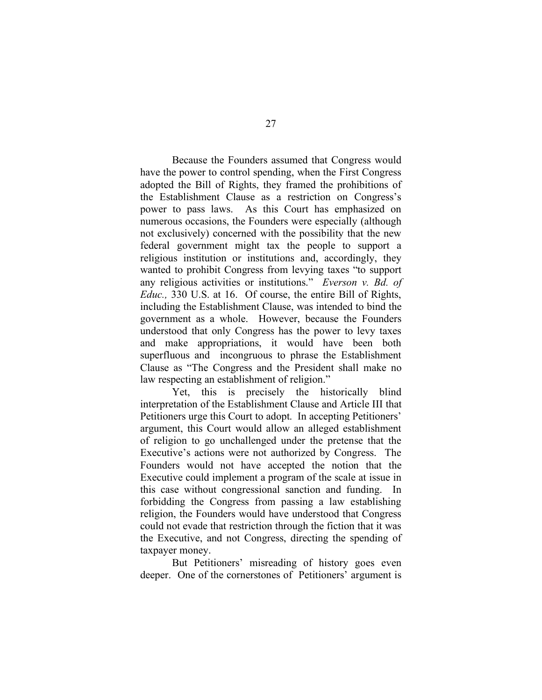Because the Founders assumed that Congress would have the power to control spending, when the First Congress adopted the Bill of Rights, they framed the prohibitions of the Establishment Clause as a restriction on Congress's power to pass laws. As this Court has emphasized on numerous occasions, the Founders were especially (although not exclusively) concerned with the possibility that the new federal government might tax the people to support a religious institution or institutions and, accordingly, they wanted to prohibit Congress from levying taxes "to support any religious activities or institutions." *Everson v. Bd. of Educ.,* 330 U.S. at 16. Of course, the entire Bill of Rights, including the Establishment Clause, was intended to bind the government as a whole. However, because the Founders understood that only Congress has the power to levy taxes and make appropriations, it would have been both superfluous and incongruous to phrase the Establishment Clause as "The Congress and the President shall make no law respecting an establishment of religion."

Yet, this is precisely the historically blind interpretation of the Establishment Clause and Article III that Petitioners urge this Court to adopt. In accepting Petitioners' argument, this Court would allow an alleged establishment of religion to go unchallenged under the pretense that the Executive's actions were not authorized by Congress. The Founders would not have accepted the notion that the Executive could implement a program of the scale at issue in this case without congressional sanction and funding. In forbidding the Congress from passing a law establishing religion, the Founders would have understood that Congress could not evade that restriction through the fiction that it was the Executive, and not Congress, directing the spending of taxpayer money.

But Petitioners' misreading of history goes even deeper. One of the cornerstones of Petitioners' argument is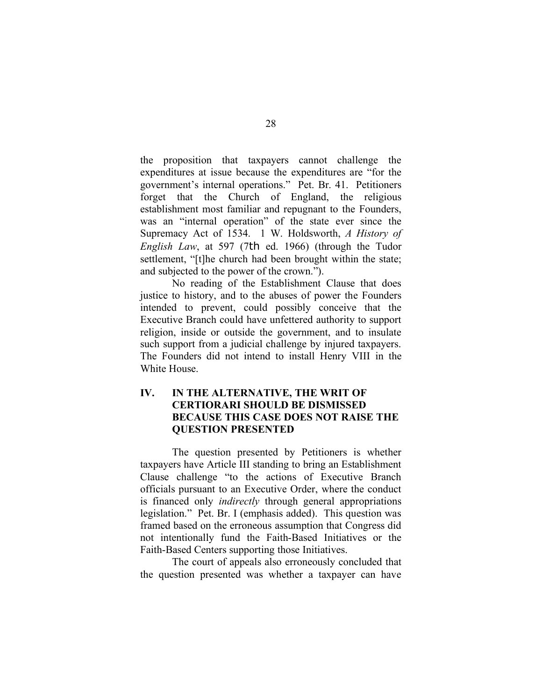the proposition that taxpayers cannot challenge the expenditures at issue because the expenditures are "for the government's internal operations." Pet. Br. 41. Petitioners forget that the Church of England, the religious establishment most familiar and repugnant to the Founders, was an "internal operation" of the state ever since the Supremacy Act of 1534. 1 W. Holdsworth, *A History of English Law*, at 597 (7th ed. 1966) (through the Tudor settlement, "[t]he church had been brought within the state; and subjected to the power of the crown.").

No reading of the Establishment Clause that does justice to history, and to the abuses of power the Founders intended to prevent, could possibly conceive that the Executive Branch could have unfettered authority to support religion, inside or outside the government, and to insulate such support from a judicial challenge by injured taxpayers. The Founders did not intend to install Henry VIII in the White House.

## **IV. IN THE ALTERNATIVE, THE WRIT OF CERTIORARI SHOULD BE DISMISSED BECAUSE THIS CASE DOES NOT RAISE THE QUESTION PRESENTED**

The question presented by Petitioners is whether taxpayers have Article III standing to bring an Establishment Clause challenge "to the actions of Executive Branch officials pursuant to an Executive Order, where the conduct is financed only *indirectly* through general appropriations legislation." Pet. Br. I (emphasis added). This question was framed based on the erroneous assumption that Congress did not intentionally fund the Faith-Based Initiatives or the Faith-Based Centers supporting those Initiatives.

The court of appeals also erroneously concluded that the question presented was whether a taxpayer can have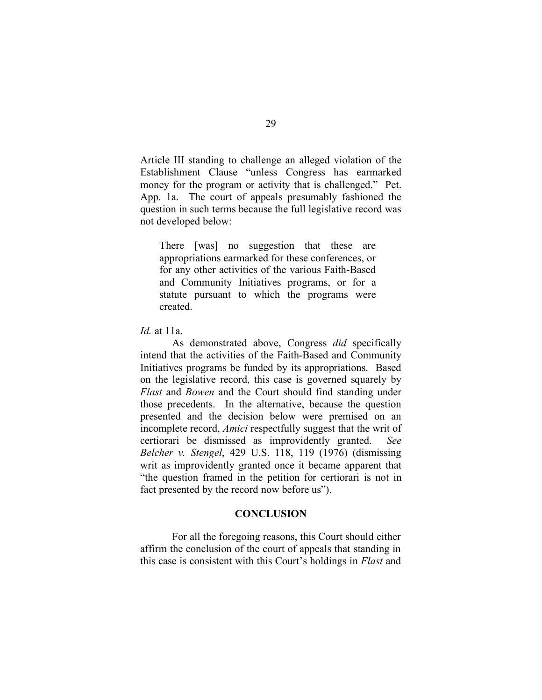Article III standing to challenge an alleged violation of the Establishment Clause "unless Congress has earmarked money for the program or activity that is challenged." Pet. App. 1a. The court of appeals presumably fashioned the question in such terms because the full legislative record was not developed below:

There [was] no suggestion that these are appropriations earmarked for these conferences, or for any other activities of the various Faith-Based and Community Initiatives programs, or for a statute pursuant to which the programs were created.

*Id.* at 11a.

As demonstrated above, Congress *did* specifically intend that the activities of the Faith-Based and Community Initiatives programs be funded by its appropriations. Based on the legislative record, this case is governed squarely by *Flast* and *Bowen* and the Court should find standing under those precedents. In the alternative, because the question presented and the decision below were premised on an incomplete record, *Amici* respectfully suggest that the writ of certiorari be dismissed as improvidently granted. *See Belcher v. Stengel*, 429 U.S. 118, 119 (1976) (dismissing writ as improvidently granted once it became apparent that "the question framed in the petition for certiorari is not in fact presented by the record now before us").

#### **CONCLUSION**

For all the foregoing reasons, this Court should either affirm the conclusion of the court of appeals that standing in this case is consistent with this Court's holdings in *Flast* and